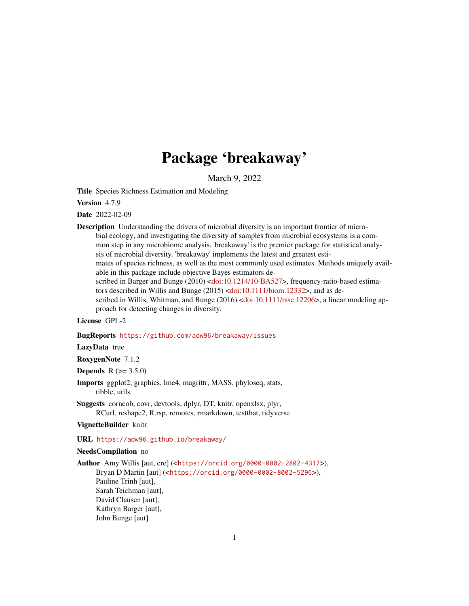# Package 'breakaway'

March 9, 2022

Title Species Richness Estimation and Modeling

Version 4.7.9

Date 2022-02-09

Description Understanding the drivers of microbial diversity is an important frontier of microbial ecology, and investigating the diversity of samples from microbial ecosystems is a common step in any microbiome analysis. 'breakaway' is the premier package for statistical analysis of microbial diversity. 'breakaway' implements the latest and greatest estimates of species richness, as well as the most commonly used estimates. Methods uniquely available in this package include objective Bayes estimators de-scribed in Barger and Bunge (2010) [<doi:10.1214/10-BA527>](https://doi.org/10.1214/10-BA527), frequency-ratio-based estimators described in Willis and Bunge (2015) [<doi:10.1111/biom.12332>](https://doi.org/10.1111/biom.12332), and as de-scribed in Willis, Whitman, and Bunge (2016) [<doi:10.1111/rssc.12206>](https://doi.org/10.1111/rssc.12206), a linear modeling approach for detecting changes in diversity.

# License GPL-2

#### BugReports <https://github.com/adw96/breakaway/issues>

# LazyData true

#### RoxygenNote 7.1.2

**Depends**  $R (= 3.5.0)$ 

Imports ggplot2, graphics, lme4, magrittr, MASS, phyloseq, stats, tibble, utils

Suggests corncob, covr, devtools, dplyr, DT, knitr, openxlsx, plyr, RCurl, reshape2, R.rsp, remotes, rmarkdown, testthat, tidyverse

# VignetteBuilder knitr

#### URL <https://adw96.github.io/breakaway/>

#### NeedsCompilation no

Author Amy Willis [aut, cre] (<<https://orcid.org/0000-0002-2802-4317>>), Bryan D Martin [aut] (<<https://orcid.org/0000-0002-8002-5296>>), Pauline Trinh [aut], Sarah Teichman [aut], David Clausen [aut], Kathryn Barger [aut], John Bunge [aut]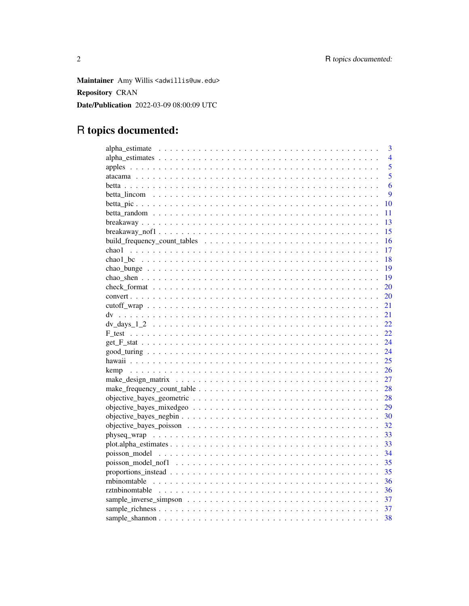Maintainer Amy Willis <adwillis@uw.edu> **Repository CRAN** Date/Publication 2022-03-09 08:00:09 UTC

# R topics documented:

| 3              |
|----------------|
| $\overline{4}$ |
| 5              |
| $\overline{5}$ |
| 6              |
| 9              |
| 10             |
| 11             |
| 13             |
| 15             |
| 16             |
| 17<br>chao1    |
| 18             |
| 19             |
| 19             |
| 20             |
| <b>20</b>      |
| 21             |
| 21             |
| 22             |
| 22             |
| 24             |
| 24             |
| 25             |
| 26             |
| 27             |
| 28             |
| 28             |
| 29             |
| 30             |
| 32             |
| 33             |
| 33             |
| 34             |
| 35             |
| 35             |
| 36             |
| 36             |
| 37             |
| 37             |
| 38             |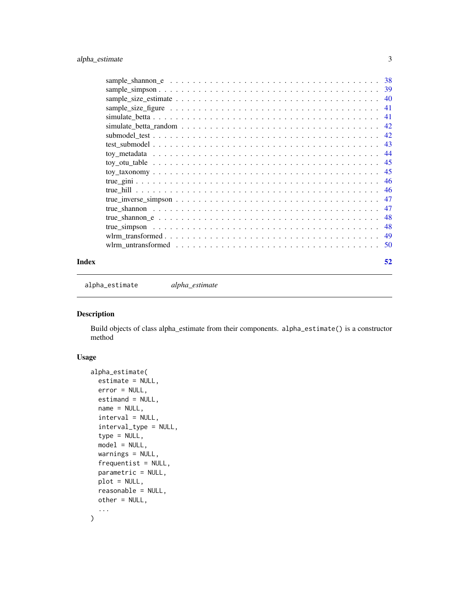<span id="page-2-0"></span>

|  |  | 38  |
|--|--|-----|
|  |  | -39 |
|  |  | 40  |
|  |  | 41  |
|  |  | 41  |
|  |  | 42  |
|  |  | 42  |
|  |  | 43  |
|  |  | 44  |
|  |  | 45  |
|  |  | 45  |
|  |  | 46  |
|  |  | 46  |
|  |  | 47  |
|  |  | 47  |
|  |  | 48  |
|  |  | 48  |
|  |  | 49  |
|  |  | -50 |
|  |  |     |

#### **Index** [52](#page-51-0)

alpha\_estimate *alpha\_estimate*

# Description

Build objects of class alpha\_estimate from their components. alpha\_estimate() is a constructor method

# Usage

```
alpha_estimate(
  estimate = NULL,
  error = NULL,
  estimand = NULL,
  name = NULL,interval = NULL,
  interval_type = NULL,
  type = NULL,
  model = NULL,
 warnings = NULL,
  frequentist = NULL,
  parametric = NULL,
 plot = NULL,
  reasonable = NULL,
  other = NULL,
  ...
\mathcal{L}
```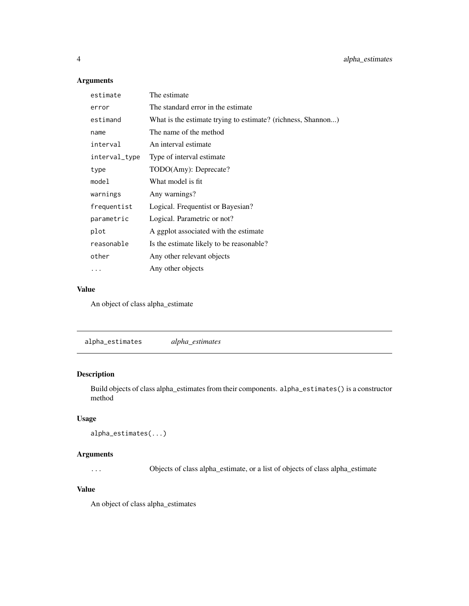# Arguments

| estimate      | The estimate                                                 |
|---------------|--------------------------------------------------------------|
| error         | The standard error in the estimate.                          |
| estimand      | What is the estimate trying to estimate? (richness, Shannon) |
| name          | The name of the method                                       |
| interval      | An interval estimate                                         |
| interval_type | Type of interval estimate.                                   |
| type          | TODO(Amy): Deprecate?                                        |
| model         | What model is fit                                            |
| warnings      | Any warnings?                                                |
| frequentist   | Logical. Frequentist or Bayesian?                            |
| parametric    | Logical. Parametric or not?                                  |
| plot          | A ggplot associated with the estimate                        |
| reasonable    | Is the estimate likely to be reasonable?                     |
| other         | Any other relevant objects                                   |
|               | Any other objects                                            |

#### Value

An object of class alpha\_estimate

alpha\_estimates *alpha\_estimates*

# Description

Build objects of class alpha\_estimates from their components. alpha\_estimates() is a constructor method

# Usage

```
alpha_estimates(...)
```
# Arguments

... Objects of class alpha\_estimate, or a list of objects of class alpha\_estimate

# Value

An object of class alpha\_estimates

<span id="page-3-0"></span>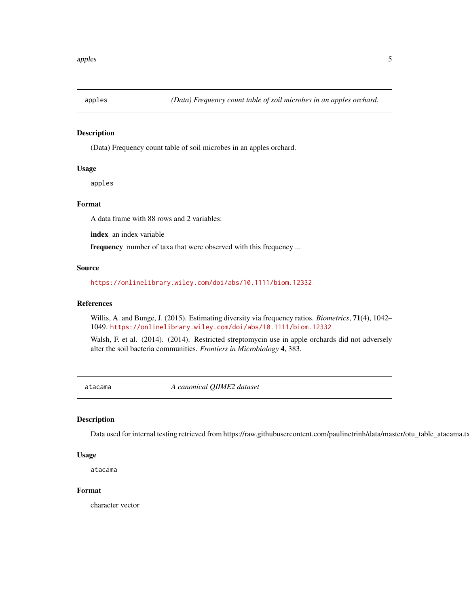<span id="page-4-1"></span><span id="page-4-0"></span>

(Data) Frequency count table of soil microbes in an apples orchard.

# Usage

apples

#### Format

A data frame with 88 rows and 2 variables:

index an index variable

frequency number of taxa that were observed with this frequency ...

#### Source

<https://onlinelibrary.wiley.com/doi/abs/10.1111/biom.12332>

# References

Willis, A. and Bunge, J. (2015). Estimating diversity via frequency ratios. *Biometrics*, 71(4), 1042– 1049. <https://onlinelibrary.wiley.com/doi/abs/10.1111/biom.12332>

Walsh, F. et al. (2014). (2014). Restricted streptomycin use in apple orchards did not adversely alter the soil bacteria communities. *Frontiers in Microbiology* 4, 383.

atacama *A canonical QIIME2 dataset*

# Description

Data used for internal testing retrieved from https://raw.githubusercontent.com/paulinetrinh/data/master/otu\_table\_atacama.txt

# Usage

atacama

#### Format

character vector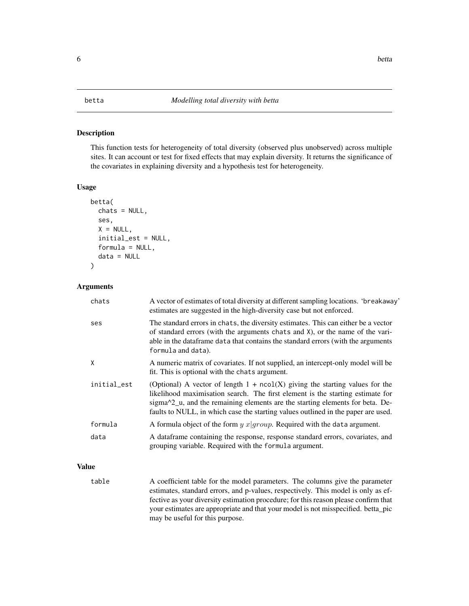<span id="page-5-1"></span><span id="page-5-0"></span>This function tests for heterogeneity of total diversity (observed plus unobserved) across multiple sites. It can account or test for fixed effects that may explain diversity. It returns the significance of the covariates in explaining diversity and a hypothesis test for heterogeneity.

#### Usage

```
betta(
  chats = NULL,
  ses,
  X = NULL,initial_est = NULL,
  formula = NULL,
  data = NULL
\mathcal{E}
```
#### Arguments

| chats       | A vector of estimates of total diversity at different sampling locations. 'breakaway'<br>estimates are suggested in the high-diversity case but not enforced.                                                                                                                                                                          |
|-------------|----------------------------------------------------------------------------------------------------------------------------------------------------------------------------------------------------------------------------------------------------------------------------------------------------------------------------------------|
| ses         | The standard errors in chats, the diversity estimates. This can either be a vector<br>of standard errors (with the arguments chats and X), or the name of the vari-<br>able in the dataframe data that contains the standard errors (with the arguments<br>formula and data).                                                          |
| X           | A numeric matrix of covariates. If not supplied, an intercept-only model will be<br>fit. This is optional with the chats argument.                                                                                                                                                                                                     |
| initial_est | (Optional) A vector of length $1 + ncol(X)$ giving the starting values for the<br>likelihood maximisation search. The first element is the starting estimate for<br>sigma^2_u, and the remaining elements are the starting elements for beta. De-<br>faults to NULL, in which case the starting values outlined in the paper are used. |
| formula     | A formula object of the form $y$ $x group$ . Required with the data argument.                                                                                                                                                                                                                                                          |
| data        | A dataframe containing the response, response standard errors, covariates, and<br>grouping variable. Required with the formula argument.                                                                                                                                                                                               |

# Value

table A coefficient table for the model parameters. The columns give the parameter estimates, standard errors, and p-values, respectively. This model is only as effective as your diversity estimation procedure; for this reason please confirm that your estimates are appropriate and that your model is not misspecified. betta\_pic may be useful for this purpose.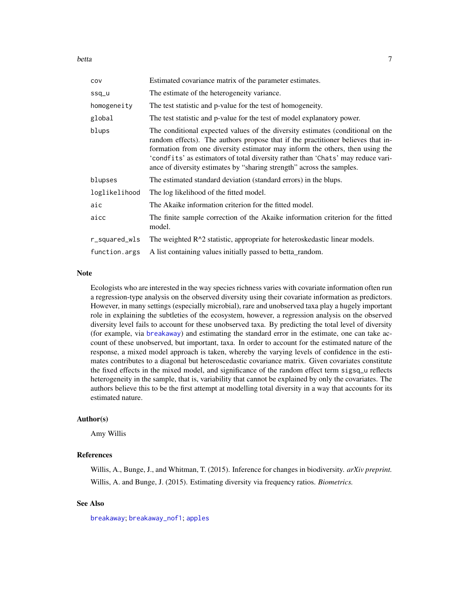<span id="page-6-0"></span>betta and the contract of the contract of the contract of the contract of the contract of the contract of the contract of the contract of the contract of the contract of the contract of the contract of the contract of the

| COV           | Estimated covariance matrix of the parameter estimates.                                                                                                                                                                                                                                                                                                                                                        |
|---------------|----------------------------------------------------------------------------------------------------------------------------------------------------------------------------------------------------------------------------------------------------------------------------------------------------------------------------------------------------------------------------------------------------------------|
| ssq_u         | The estimate of the heterogeneity variance.                                                                                                                                                                                                                                                                                                                                                                    |
| homogeneity   | The test statistic and p-value for the test of homogeneity.                                                                                                                                                                                                                                                                                                                                                    |
| global        | The test statistic and p-value for the test of model explanatory power.                                                                                                                                                                                                                                                                                                                                        |
| blups         | The conditional expected values of the diversity estimates (conditional on the<br>random effects). The authors propose that if the practitioner believes that in-<br>formation from one diversity estimator may inform the others, then using the<br>'condfits' as estimators of total diversity rather than 'Chats' may reduce vari-<br>ance of diversity estimates by "sharing strength" across the samples. |
| blupses       | The estimated standard deviation (standard errors) in the blups.                                                                                                                                                                                                                                                                                                                                               |
| loglikelihood | The log likelihood of the fitted model.                                                                                                                                                                                                                                                                                                                                                                        |
| aic           | The Akaike information criterion for the fitted model.                                                                                                                                                                                                                                                                                                                                                         |
| aicc          | The finite sample correction of the Akaike information criterion for the fitted<br>model.                                                                                                                                                                                                                                                                                                                      |
| r_squared_wls | The weighted R <sup><math>\wedge</math>2</sup> statistic, appropriate for heteroskedastic linear models.                                                                                                                                                                                                                                                                                                       |
| function.args | A list containing values initially passed to betta_random.                                                                                                                                                                                                                                                                                                                                                     |

#### Note

Ecologists who are interested in the way species richness varies with covariate information often run a regression-type analysis on the observed diversity using their covariate information as predictors. However, in many settings (especially microbial), rare and unobserved taxa play a hugely important role in explaining the subtleties of the ecosystem, however, a regression analysis on the observed diversity level fails to account for these unobserved taxa. By predicting the total level of diversity (for example, via [breakaway](#page-12-1)) and estimating the standard error in the estimate, one can take account of these unobserved, but important, taxa. In order to account for the estimated nature of the response, a mixed model approach is taken, whereby the varying levels of confidence in the estimates contributes to a diagonal but heteroscedastic covariance matrix. Given covariates constitute the fixed effects in the mixed model, and significance of the random effect term sigsq\_u reflects heterogeneity in the sample, that is, variability that cannot be explained by only the covariates. The authors believe this to be the first attempt at modelling total diversity in a way that accounts for its estimated nature.

#### Author(s)

Amy Willis

# References

Willis, A., Bunge, J., and Whitman, T. (2015). Inference for changes in biodiversity. *arXiv preprint.* Willis, A. and Bunge, J. (2015). Estimating diversity via frequency ratios. *Biometrics.*

# See Also

[breakaway](#page-12-1); [breakaway\\_nof1](#page-14-1); [apples](#page-4-1)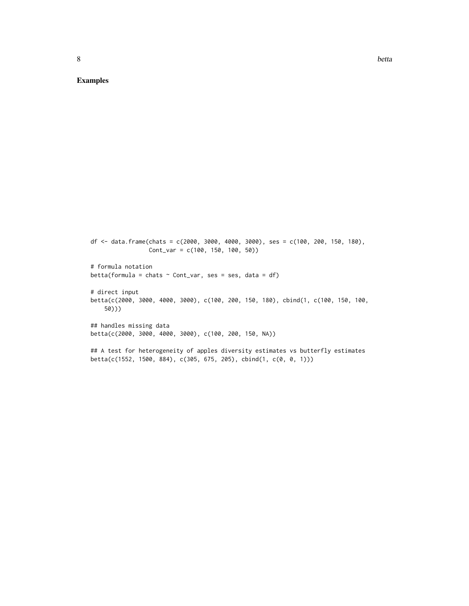Examples

```
df <- data.frame(chats = c(2000, 3000, 4000, 3000), ses = c(100, 200, 150, 180),
                Cont_var = c(100, 150, 100, 50))
# formula notation
betta(formula = chats \sim Cont_var, ses = ses, data = df)
# direct input
betta(c(2000, 3000, 4000, 3000), c(100, 200, 150, 180), cbind(1, c(100, 150, 100,
   50)))
## handles missing data
betta(c(2000, 3000, 4000, 3000), c(100, 200, 150, NA))
## A test for heterogeneity of apples diversity estimates vs butterfly estimates
beta(c(1552, 1500, 884), c(305, 675, 205), chind(1, c(0, 0, 1)))
```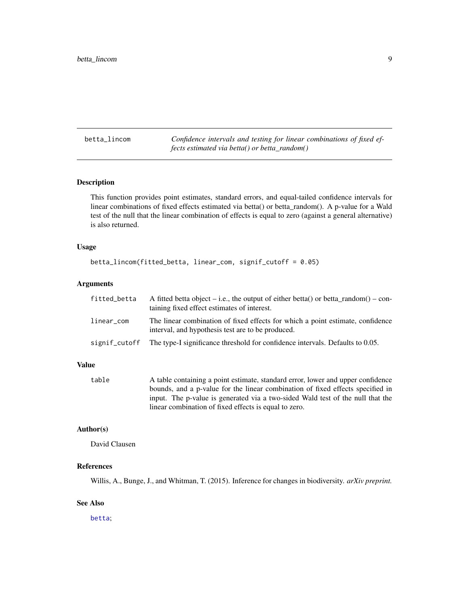<span id="page-8-0"></span>betta\_lincom *Confidence intervals and testing for linear combinations of fixed effects estimated via betta() or betta\_random()*

# Description

This function provides point estimates, standard errors, and equal-tailed confidence intervals for linear combinations of fixed effects estimated via betta() or betta\_random(). A p-value for a Wald test of the null that the linear combination of effects is equal to zero (against a general alternative) is also returned.

#### Usage

```
betta_lincom(fitted_betta, linear_com, signif_cutoff = 0.05)
```
#### Arguments

| fitted_betta  | A fitted betta object – i.e., the output of either betta() or betta random() – con-<br>taining fixed effect estimates of interest.  |
|---------------|-------------------------------------------------------------------------------------------------------------------------------------|
| linear_com    | The linear combination of fixed effects for which a point estimate, confidence<br>interval, and hypothesis test are to be produced. |
| signif_cutoff | The type-I significance threshold for confidence intervals. Defaults to 0.05.                                                       |

#### Value

table A table containing a point estimate, standard error, lower and upper confidence bounds, and a p-value for the linear combination of fixed effects specified in input. The p-value is generated via a two-sided Wald test of the null that the linear combination of fixed effects is equal to zero.

#### Author(s)

David Clausen

# References

Willis, A., Bunge, J., and Whitman, T. (2015). Inference for changes in biodiversity. *arXiv preprint.*

#### See Also

[betta](#page-5-1);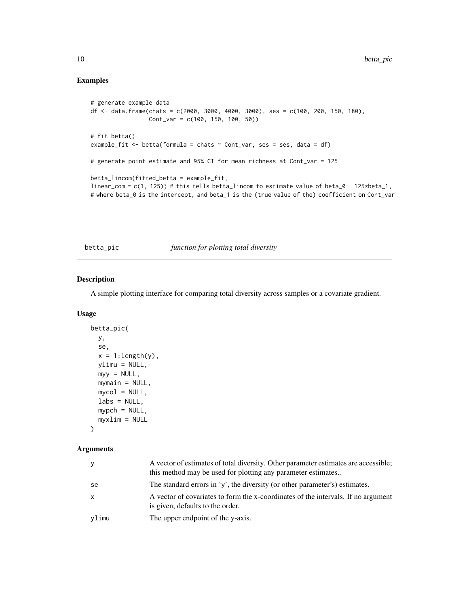# <span id="page-9-0"></span>Examples

```
# generate example data
df <- data.frame(chats = c(2000, 3000, 4000, 3000), ses = c(100, 200, 150, 180),
                 Cont_var = c(100, 150, 100, 50))
# fit betta()
example_fit <- betta(formula = chats \sim Cont_var, ses = ses, data = df)
# generate point estimate and 95% CI for mean richness at Cont_var = 125
betta_lincom(fitted_betta = example_fit,
linear_com = c(1, 125)) # this tells betta_lincom to estimate value of beta_0 + 125*beta_1,
# where beta_0 is the intercept, and beta_1 is the (true value of the) coefficient on Cont_var
```
betta\_pic *function for plotting total diversity*

# Description

A simple plotting interface for comparing total diversity across samples or a covariate gradient.

#### Usage

```
betta_pic(
  y,
  se,
  x = 1: length(y),
  ylimu = NULL,
  myy = NULL,mymain = NULL,mycol = NULL,\text{labels} = \text{NULL},
  mypch = NULL,
  myxlim = NULL
\lambda
```
### Arguments

| ٧     | A vector of estimates of total diversity. Other parameter estimates are accessible;<br>this method may be used for plotting any parameter estimates |
|-------|-----------------------------------------------------------------------------------------------------------------------------------------------------|
| se    | The standard errors in 'y', the diversity (or other parameter's) estimates.                                                                         |
| X.    | A vector of covariates to form the x-coordinates of the intervals. If no argument<br>is given, defaults to the order.                               |
| vlimu | The upper endpoint of the y-axis.                                                                                                                   |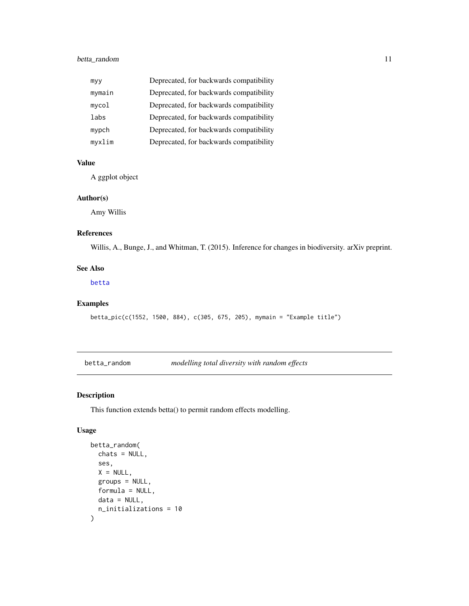# <span id="page-10-0"></span>betta\_random 11

| myy    | Deprecated, for backwards compatibility |
|--------|-----------------------------------------|
| mymain | Deprecated, for backwards compatibility |
| mycol  | Deprecated, for backwards compatibility |
| labs   | Deprecated, for backwards compatibility |
| mypch  | Deprecated, for backwards compatibility |
| myxlim | Deprecated, for backwards compatibility |

## Value

A ggplot object

#### Author(s)

Amy Willis

# References

Willis, A., Bunge, J., and Whitman, T. (2015). Inference for changes in biodiversity. arXiv preprint.

#### See Also

[betta](#page-5-1)

# Examples

betta\_pic(c(1552, 1500, 884), c(305, 675, 205), mymain = "Example title")

<span id="page-10-1"></span>betta\_random *modelling total diversity with random effects*

# Description

This function extends betta() to permit random effects modelling.

#### Usage

```
betta_random(
  chats = NULL,
  ses,
  X = NULL,
  groups = NULL,
  formula = NULL,
  data = NULL,n_initializations = 10
\mathcal{L}
```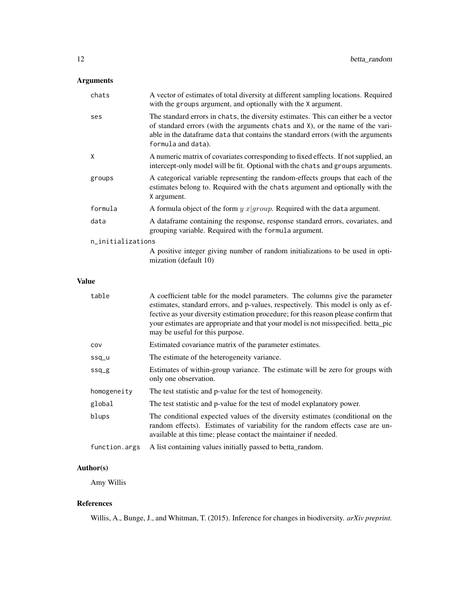# Arguments

| chats             | A vector of estimates of total diversity at different sampling locations. Required<br>with the groups argument, and optionally with the X argument.                                                                                                                           |
|-------------------|-------------------------------------------------------------------------------------------------------------------------------------------------------------------------------------------------------------------------------------------------------------------------------|
| ses               | The standard errors in chats, the diversity estimates. This can either be a vector<br>of standard errors (with the arguments chats and X), or the name of the vari-<br>able in the dataframe data that contains the standard errors (with the arguments<br>formula and data). |
| X                 | A numeric matrix of covariates corresponding to fixed effects. If not supplied, an<br>intercept-only model will be fit. Optional with the chats and groups arguments.                                                                                                         |
| groups            | A categorical variable representing the random-effects groups that each of the<br>estimates belong to. Required with the chats argument and optionally with the<br>X argument.                                                                                                |
| formula           | A formula object of the form $y$ $x group$ . Required with the data argument.                                                                                                                                                                                                 |
| data              | A data frame containing the response, response standard errors, covariates, and<br>grouping variable. Required with the formula argument.                                                                                                                                     |
| n_initializations |                                                                                                                                                                                                                                                                               |
|                   | A positive integer giving number of random initializations to be used in opti-<br>mization (default 10)                                                                                                                                                                       |

#### Value

| table         | A coefficient table for the model parameters. The columns give the parameter<br>estimates, standard errors, and p-values, respectively. This model is only as ef-<br>fective as your diversity estimation procedure; for this reason please confirm that<br>your estimates are appropriate and that your model is not misspecified. betta_pic<br>may be useful for this purpose. |
|---------------|----------------------------------------------------------------------------------------------------------------------------------------------------------------------------------------------------------------------------------------------------------------------------------------------------------------------------------------------------------------------------------|
| cov           | Estimated covariance matrix of the parameter estimates.                                                                                                                                                                                                                                                                                                                          |
| ssq_u         | The estimate of the heterogeneity variance.                                                                                                                                                                                                                                                                                                                                      |
| $ssq_g$       | Estimates of within-group variance. The estimate will be zero for groups with<br>only one observation.                                                                                                                                                                                                                                                                           |
| homogeneity   | The test statistic and p-value for the test of homogeneity.                                                                                                                                                                                                                                                                                                                      |
| global        | The test statistic and p-value for the test of model explanatory power.                                                                                                                                                                                                                                                                                                          |
| blups         | The conditional expected values of the diversity estimates (conditional on the<br>random effects). Estimates of variability for the random effects case are un-<br>available at this time; please contact the maintainer if needed.                                                                                                                                              |
| function.args | A list containing values initially passed to betta_random.                                                                                                                                                                                                                                                                                                                       |

# Author(s)

Amy Willis

# References

Willis, A., Bunge, J., and Whitman, T. (2015). Inference for changes in biodiversity. *arXiv preprint.*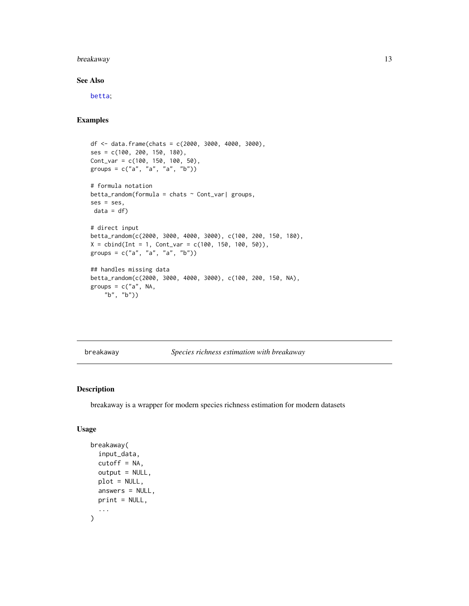# <span id="page-12-0"></span>breakaway 13

#### See Also

[betta](#page-5-1);

#### Examples

```
df <- data.frame(chats = c(2000, 3000, 4000, 3000),
ses = c(100, 200, 150, 180),
Cont_{var} = c(100, 150, 100, 50),
groups = c("a", "a", "a", "b")# formula notation
beta_{r} hetta_random(formula = chats \sim Cont_var| groups,
ses = ses,data = df)# direct input
betta_random(c(2000, 3000, 4000, 3000), c(100, 200, 150, 180),
X = \text{cbind}(Int = 1, \text{Cont}_var = c(100, 150, 100, 50)),groups = c("a", "a", "a", "b")## handles missing data
betta_random(c(2000, 3000, 4000, 3000), c(100, 200, 150, NA),
groups = c("a", NA,nps<br>"b", "b"))
```
<span id="page-12-1"></span>breakaway *Species richness estimation with breakaway*

#### Description

breakaway is a wrapper for modern species richness estimation for modern datasets

# Usage

```
breakaway(
  input_data,
  cutoff = NA,
  output = NULL,plot = NULL,
  answers = NULL,
  print = NULL,
  ...
\mathcal{L}
```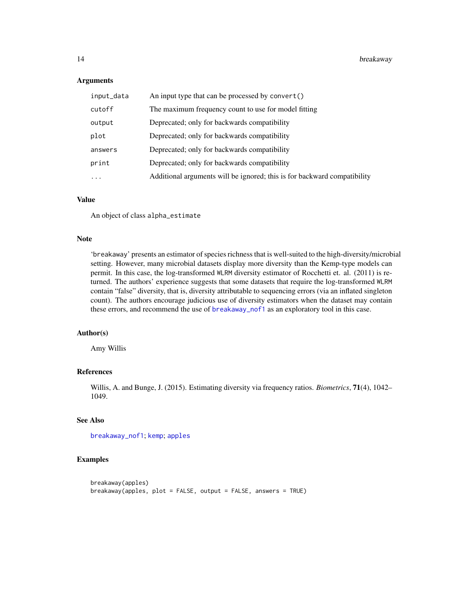#### Arguments

| input_data | An input type that can be processed by convert()                         |
|------------|--------------------------------------------------------------------------|
| cutoff     | The maximum frequency count to use for model fitting                     |
| output     | Deprecated; only for backwards compatibility                             |
| plot       | Deprecated; only for backwards compatibility                             |
| answers    | Deprecated; only for backwards compatibility                             |
| print      | Deprecated; only for backwards compatibility                             |
| .          | Additional arguments will be ignored; this is for backward compatibility |

#### Value

An object of class alpha\_estimate

# Note

'breakaway' presents an estimator of species richness that is well-suited to the high-diversity/microbial setting. However, many microbial datasets display more diversity than the Kemp-type models can permit. In this case, the log-transformed WLRM diversity estimator of Rocchetti et. al. (2011) is returned. The authors' experience suggests that some datasets that require the log-transformed WLRM contain "false" diversity, that is, diversity attributable to sequencing errors (via an inflated singleton count). The authors encourage judicious use of diversity estimators when the dataset may contain these errors, and recommend the use of [breakaway\\_nof1](#page-14-1) as an exploratory tool in this case.

#### Author(s)

Amy Willis

# References

Willis, A. and Bunge, J. (2015). Estimating diversity via frequency ratios. *Biometrics*, 71(4), 1042– 1049.

#### See Also

[breakaway\\_nof1](#page-14-1); [kemp](#page-25-1); [apples](#page-4-1)

# Examples

```
breakaway(apples)
breakaway(apples, plot = FALSE, output = FALSE, answers = TRUE)
```
<span id="page-13-0"></span>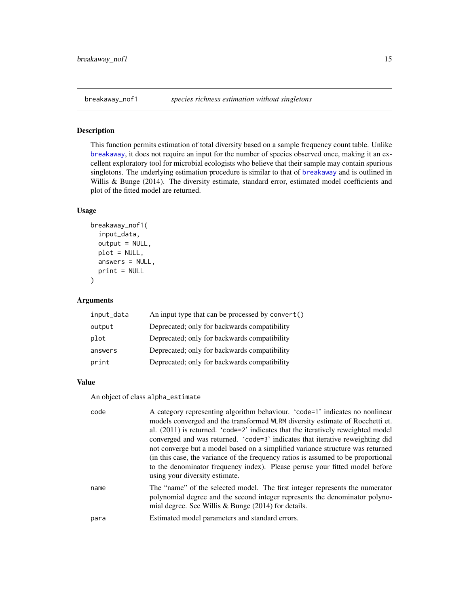<span id="page-14-1"></span><span id="page-14-0"></span>

This function permits estimation of total diversity based on a sample frequency count table. Unlike [breakaway](#page-12-1), it does not require an input for the number of species observed once, making it an excellent exploratory tool for microbial ecologists who believe that their sample may contain spurious singletons. The underlying estimation procedure is similar to that of [breakaway](#page-12-1) and is outlined in Willis & Bunge (2014). The diversity estimate, standard error, estimated model coefficients and plot of the fitted model are returned.

#### Usage

```
breakaway_nof1(
  input_data,
  output = NULL,plot = NULL,
  answers = NULL,
  print = NULL
)
```
### Arguments

| An input type that can be processed by convert() |
|--------------------------------------------------|
| Deprecated; only for backwards compatibility     |
| Deprecated; only for backwards compatibility     |
| Deprecated; only for backwards compatibility     |
| Deprecated; only for backwards compatibility     |
|                                                  |

#### Value

An object of class alpha\_estimate

| code | A category representing algorithm behaviour. 'code=1' indicates no nonlinear<br>models converged and the transformed WLRM diversity estimate of Rocchetti et.<br>al. $(2011)$ is returned. 'code=2' indicates that the iteratively reweighted model<br>converged and was returned. 'code=3' indicates that iterative reweighting did<br>not converge but a model based on a simplified variance structure was returned<br>(in this case, the variance of the frequency ratios is assumed to be proportional<br>to the denominator frequency index). Please peruse your fitted model before<br>using your diversity estimate. |
|------|------------------------------------------------------------------------------------------------------------------------------------------------------------------------------------------------------------------------------------------------------------------------------------------------------------------------------------------------------------------------------------------------------------------------------------------------------------------------------------------------------------------------------------------------------------------------------------------------------------------------------|
| name | The "name" of the selected model. The first integer represents the numerator<br>polynomial degree and the second integer represents the denominator polyno-<br>mial degree. See Willis & Bunge $(2014)$ for details.                                                                                                                                                                                                                                                                                                                                                                                                         |
| para | Estimated model parameters and standard errors.                                                                                                                                                                                                                                                                                                                                                                                                                                                                                                                                                                              |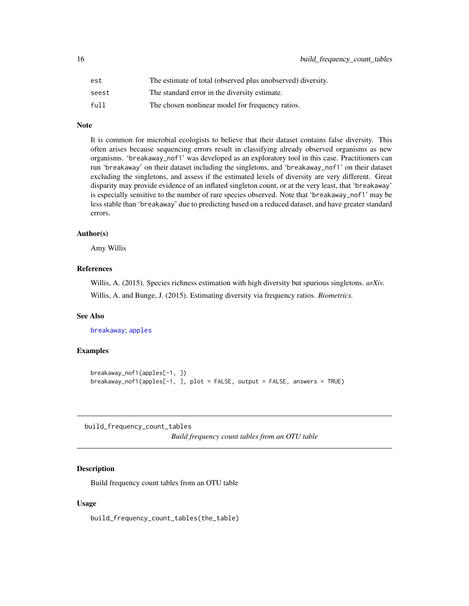<span id="page-15-0"></span>

| est   | The estimate of total (observed plus unobserved) diversity. |
|-------|-------------------------------------------------------------|
| seest | The standard error in the diversity estimate.               |
| full  | The chosen nonlinear model for frequency ratios.            |

# Note

It is common for microbial ecologists to believe that their dataset contains false diversity. This often arises because sequencing errors result in classifying already observed organisms as new organisms. 'breakaway\_nof1' was developed as an exploratory tool in this case. Practitioners can run 'breakaway' on their dataset including the singletons, and 'breakaway\_nof1' on their dataset excluding the singletons, and assess if the estimated levels of diversity are very different. Great disparity may provide evidence of an inflated singleton count, or at the very least, that 'breakaway' is especially sensitive to the number of rare species observed. Note that 'breakaway\_nof1' may be less stable than 'breakaway' due to predicting based on a reduced dataset, and have greater standard errors.

#### Author(s)

Amy Willis

#### References

Willis, A. (2015). Species richness estimation with high diversity but spurious singletons. *arXiv.* Willis, A. and Bunge, J. (2015). Estimating diversity via frequency ratios. *Biometrics.*

# See Also

[breakaway](#page-12-1); [apples](#page-4-1)

#### Examples

```
breakaway_nof1(apples[-1, ])
breakaway_nof1(apples[-1, ], plot = FALSE, output = FALSE, answers = TRUE)
```
build\_frequency\_count\_tables

*Build frequency count tables from an OTU table*

#### **Description**

Build frequency count tables from an OTU table

#### Usage

build\_frequency\_count\_tables(the\_table)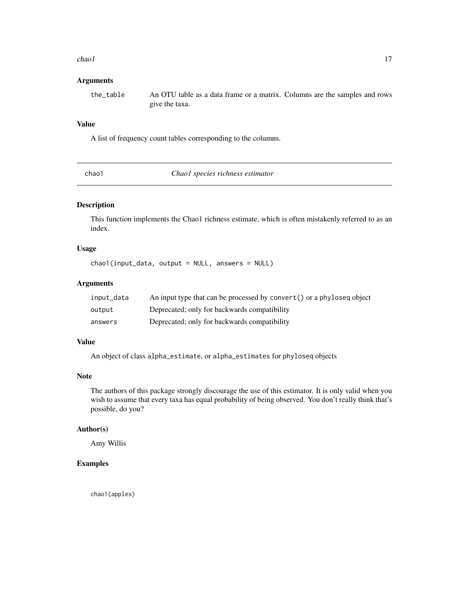#### <span id="page-16-0"></span>chao 1 17

# Arguments

the\_table An OTU table as a data frame or a matrix. Columns are the samples and rows give the taxa.

#### Value

A list of frequency count tables corresponding to the columns.

chao1 *Chao1 species richness estimator*

#### Description

This function implements the Chao1 richness estimate, which is often mistakenly referred to as an index.

# Usage

chao1(input\_data, output = NULL, answers = NULL)

# Arguments

| input_data | An input type that can be processed by convert() or a phyloseq object |
|------------|-----------------------------------------------------------------------|
| output     | Deprecated; only for backwards compatibility                          |
| answers    | Deprecated; only for backwards compatibility                          |

# Value

An object of class alpha\_estimate, or alpha\_estimates for phyloseq objects

#### Note

The authors of this package strongly discourage the use of this estimator. It is only valid when you wish to assume that every taxa has equal probability of being observed. You don't really think that's possible, do you?

# Author(s)

Amy Willis

# Examples

chao1(apples)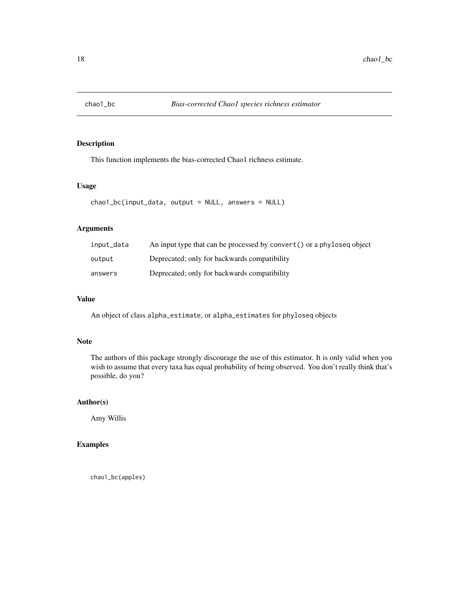<span id="page-17-0"></span>

This function implements the bias-corrected Chao1 richness estimate.

# Usage

```
chao1_bc(input_data, output = NULL, answers = NULL)
```
# Arguments

| input_data | An input type that can be processed by convert () or a phyloseq object |
|------------|------------------------------------------------------------------------|
| output     | Deprecated; only for backwards compatibility                           |
| answers    | Deprecated; only for backwards compatibility                           |

# Value

An object of class alpha\_estimate, or alpha\_estimates for phyloseq objects

#### Note

The authors of this package strongly discourage the use of this estimator. It is only valid when you wish to assume that every taxa has equal probability of being observed. You don't really think that's possible, do you?

# Author(s)

Amy Willis

# Examples

chao1\_bc(apples)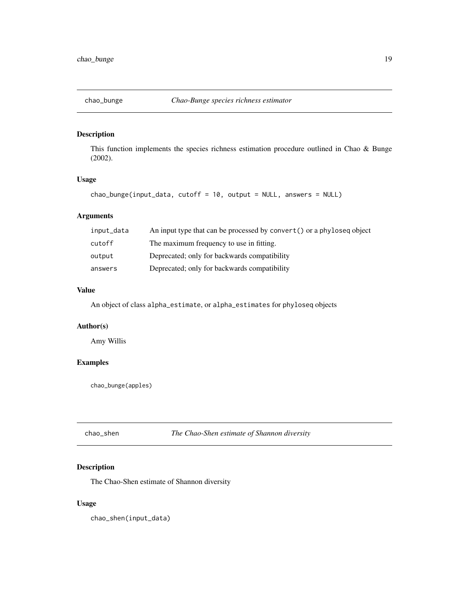<span id="page-18-0"></span>

This function implements the species richness estimation procedure outlined in Chao & Bunge (2002).

#### Usage

```
chao_bunge(input_data, cutoff = 10, output = NULL, answers = NULL)
```
# Arguments

| input_data | An input type that can be processed by convert () or a phyloseq object |
|------------|------------------------------------------------------------------------|
| cutoff     | The maximum frequency to use in fitting.                               |
| output     | Deprecated; only for backwards compatibility                           |
| answers    | Deprecated; only for backwards compatibility                           |

# Value

An object of class alpha\_estimate, or alpha\_estimates for phyloseq objects

# Author(s)

Amy Willis

# Examples

chao\_bunge(apples)

chao\_shen *The Chao-Shen estimate of Shannon diversity*

# Description

The Chao-Shen estimate of Shannon diversity

#### Usage

chao\_shen(input\_data)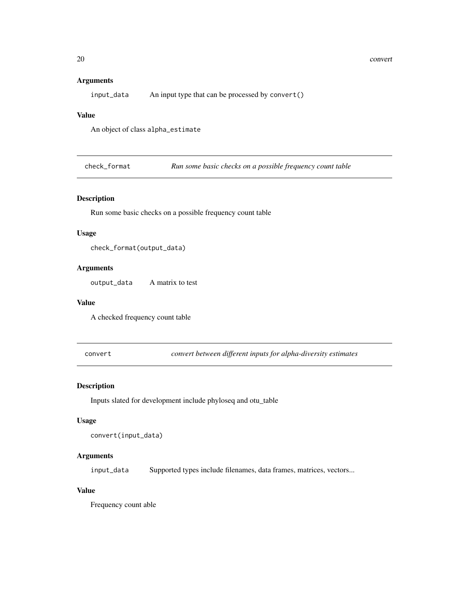#### <span id="page-19-0"></span>Arguments

input\_data An input type that can be processed by convert()

#### Value

An object of class alpha\_estimate

check\_format *Run some basic checks on a possible frequency count table*

# Description

Run some basic checks on a possible frequency count table

#### Usage

```
check_format(output_data)
```
# Arguments

output\_data A matrix to test

#### Value

A checked frequency count table

convert *convert between different inputs for alpha-diversity estimates*

#### Description

Inputs slated for development include phyloseq and otu\_table

#### Usage

```
convert(input_data)
```
# Arguments

input\_data Supported types include filenames, data frames, matrices, vectors...

# Value

Frequency count able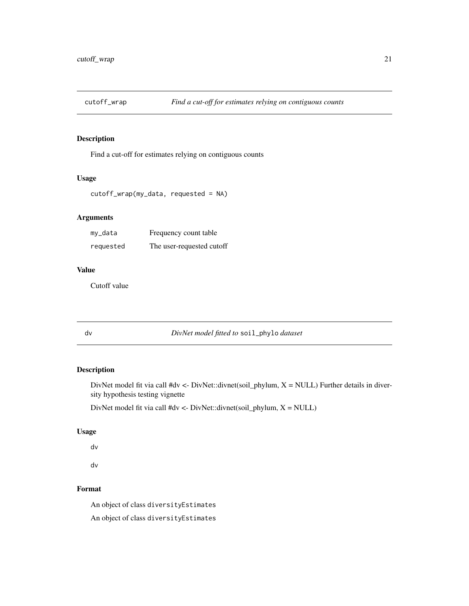<span id="page-20-0"></span>

Find a cut-off for estimates relying on contiguous counts

#### Usage

```
cutoff_wrap(my_data, requested = NA)
```
# Arguments

| my_data   | Frequency count table     |
|-----------|---------------------------|
| requested | The user-requested cutoff |

# Value

Cutoff value

dv *DivNet model fitted to* soil\_phylo *dataset*

# Description

DivNet model fit via call #dv <- DivNet::divnet(soil\_phylum,  $X = NULL$ ) Further details in diversity hypothesis testing vignette

DivNet model fit via call #dv <- DivNet::divnet(soil\_phylum, X = NULL)

#### Usage

dv

dv

# Format

An object of class diversityEstimates An object of class diversityEstimates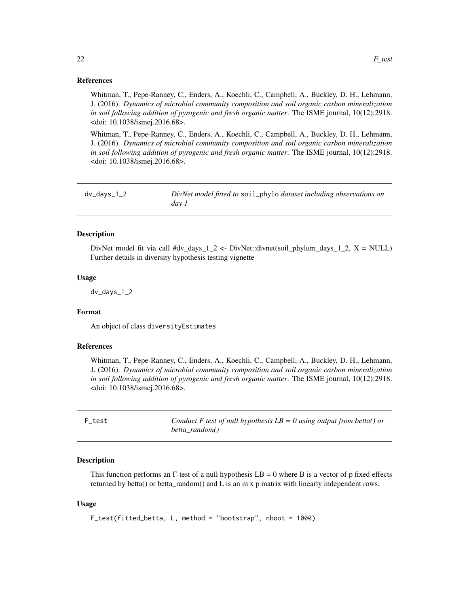#### <span id="page-21-0"></span>References

Whitman, T., Pepe-Ranney, C., Enders, A., Koechli, C., Campbell, A., Buckley, D. H., Lehmann, J. (2016). *Dynamics of microbial community composition and soil organic carbon mineralization in soil following addition of pyrogenic and fresh organic matter*. The ISME journal, 10(12):2918. <doi: 10.1038/ismej.2016.68>.

Whitman, T., Pepe-Ranney, C., Enders, A., Koechli, C., Campbell, A., Buckley, D. H., Lehmann, J. (2016). *Dynamics of microbial community composition and soil organic carbon mineralization in soil following addition of pyrogenic and fresh organic matter*. The ISME journal, 10(12):2918. <doi: 10.1038/ismej.2016.68>.

dv\_days\_1\_2 *DivNet model fitted to* soil\_phylo *dataset including observations on day 1*

#### **Description**

DivNet model fit via call #dv\_days\_1\_2 <- DivNet::divnet(soil\_phylum\_days\_1\_2, X = NULL) Further details in diversity hypothesis testing vignette

#### Usage

dv\_days\_1\_2

# Format

An object of class diversityEstimates

#### References

Whitman, T., Pepe-Ranney, C., Enders, A., Koechli, C., Campbell, A., Buckley, D. H., Lehmann, J. (2016). *Dynamics of microbial community composition and soil organic carbon mineralization in soil following addition of pyrogenic and fresh organic matter*. The ISME journal, 10(12):2918. <doi: 10.1038/ismej.2016.68>.

<span id="page-21-1"></span>F\_test *Conduct F test of null hypothesis LB = 0 using output from betta() or betta\_random()*

#### **Description**

This function performs an F-test of a null hypothesis  $LB = 0$  where B is a vector of p fixed effects returned by betta() or betta\_random() and L is an m x p matrix with linearly independent rows.

#### Usage

F\_test(fitted\_betta, L, method = "bootstrap", nboot = 1000)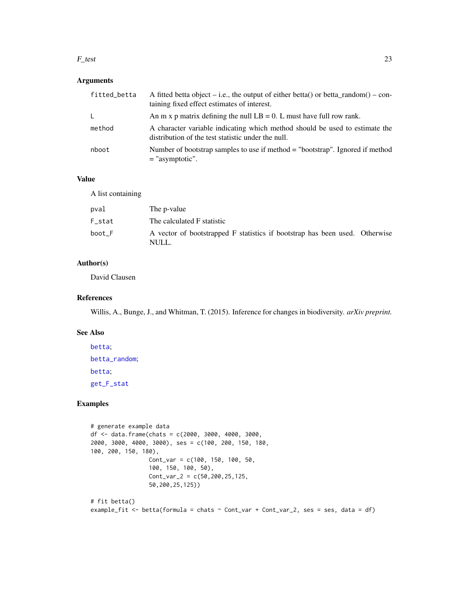#### <span id="page-22-0"></span> $F_{\text{test}}$  23

# Arguments

| fitted_betta | A fitted betta object – i.e., the output of either betta() or betta random() – con-<br>taining fixed effect estimates of interest. |
|--------------|------------------------------------------------------------------------------------------------------------------------------------|
| $\mathsf{L}$ | An m x p matrix defining the null $LB = 0$ . L must have full row rank.                                                            |
| method       | A character variable indicating which method should be used to estimate the<br>distribution of the test statistic under the null.  |
| nboot        | Number of bootstrap samples to use if method = "bootstrap". Ignored if method<br>$=$ "asymptotic".                                 |

#### Value

A list containing

| pval   | The p-value                                                                          |  |
|--------|--------------------------------------------------------------------------------------|--|
| F stat | The calculated F statistic                                                           |  |
| boot F | A vector of bootstrapped F statistics if bootstrap has been used. Otherwise<br>NULL. |  |

# Author(s)

David Clausen

#### References

Willis, A., Bunge, J., and Whitman, T. (2015). Inference for changes in biodiversity. *arXiv preprint.*

#### See Also

[betta](#page-5-1); [betta\\_random](#page-10-1); [betta](#page-5-1); [get\\_F\\_stat](#page-23-1)

# Examples

```
# generate example data
df <- data.frame(chats = c(2000, 3000, 4000, 3000,
2000, 3000, 4000, 3000), ses = c(100, 200, 150, 180,
100, 200, 150, 180),
                 Cont_var = c(100, 150, 100, 50,
                 100, 150, 100, 50),
                 Cont_{var_2} = c(50, 200, 25, 125,50,200,25,125))
# fit betta()
example_fit <- betta(formula = chats \sim Cont_var + Cont_var_2, ses = ses, data = df)
```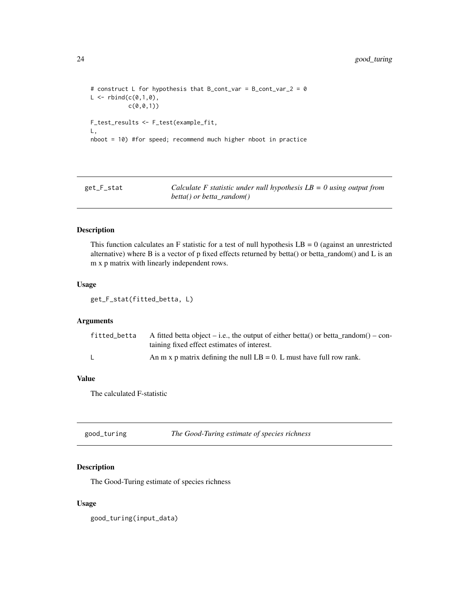```
# construct L for hypothesis that B_cont_var = B_cont_var_2 = 0
L < - rbind(c(0,1,0),
           c(\emptyset, \emptyset, 1)F_test_results <- F_test(example_fit,
L,
nboot = 10) #for speed; recommend much higher nboot in practice
```
<span id="page-23-1"></span>get\_F\_stat *Calculate F statistic under null hypothesis LB = 0 using output from betta() or betta\_random()*

#### Description

This function calculates an F statistic for a test of null hypothesis  $LB = 0$  (against an unrestricted alternative) where B is a vector of p fixed effects returned by betta() or betta\_random() and L is an m x p matrix with linearly independent rows.

#### Usage

get\_F\_stat(fitted\_betta, L)

# Arguments

| fitted betta | A fitted betta object – i.e., the output of either betta() or betta_random() – con-<br>taining fixed effect estimates of interest. |
|--------------|------------------------------------------------------------------------------------------------------------------------------------|
|              | An m x p matrix defining the null $LB = 0$ . L must have full row rank.                                                            |

# Value

The calculated F-statistic

| good_turing | The Good-Turing estimate of species richness |
|-------------|----------------------------------------------|
|-------------|----------------------------------------------|

# Description

The Good-Turing estimate of species richness

#### Usage

good\_turing(input\_data)

<span id="page-23-0"></span>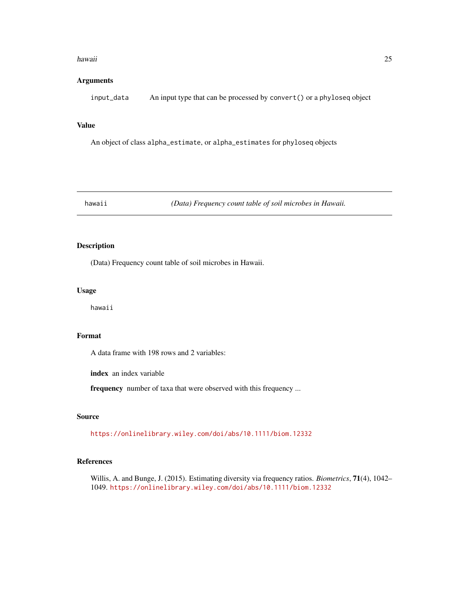#### <span id="page-24-0"></span>hawaii 25

# Arguments

input\_data An input type that can be processed by convert() or a phyloseq object

#### Value

An object of class alpha\_estimate, or alpha\_estimates for phyloseq objects

hawaii *(Data) Frequency count table of soil microbes in Hawaii.*

# Description

(Data) Frequency count table of soil microbes in Hawaii.

#### Usage

hawaii

#### Format

A data frame with 198 rows and 2 variables:

index an index variable

frequency number of taxa that were observed with this frequency ...

#### Source

<https://onlinelibrary.wiley.com/doi/abs/10.1111/biom.12332>

# References

Willis, A. and Bunge, J. (2015). Estimating diversity via frequency ratios. *Biometrics*, 71(4), 1042– 1049. <https://onlinelibrary.wiley.com/doi/abs/10.1111/biom.12332>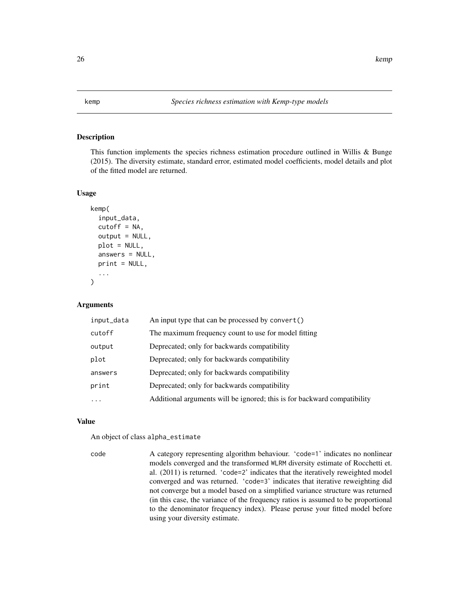<span id="page-25-1"></span><span id="page-25-0"></span>This function implements the species richness estimation procedure outlined in Willis & Bunge (2015). The diversity estimate, standard error, estimated model coefficients, model details and plot of the fitted model are returned.

# Usage

```
kemp(
  input_data,
  cutoff = NA,output = NULL,plot = NULL,
  answers = NULL,
  print = NULL,
  ...
\mathcal{L}
```
#### Arguments

| input_data | An input type that can be processed by convert()                         |
|------------|--------------------------------------------------------------------------|
| cutoff     | The maximum frequency count to use for model fitting                     |
| output     | Deprecated; only for backwards compatibility                             |
| plot       | Deprecated; only for backwards compatibility                             |
| answers    | Deprecated; only for backwards compatibility                             |
| print      | Deprecated; only for backwards compatibility                             |
| .          | Additional arguments will be ignored; this is for backward compatibility |
|            |                                                                          |

#### Value

An object of class alpha\_estimate

code A category representing algorithm behaviour. 'code=1' indicates no nonlinear models converged and the transformed WLRM diversity estimate of Rocchetti et. al. (2011) is returned. 'code=2' indicates that the iteratively reweighted model converged and was returned. 'code=3' indicates that iterative reweighting did not converge but a model based on a simplified variance structure was returned (in this case, the variance of the frequency ratios is assumed to be proportional to the denominator frequency index). Please peruse your fitted model before using your diversity estimate.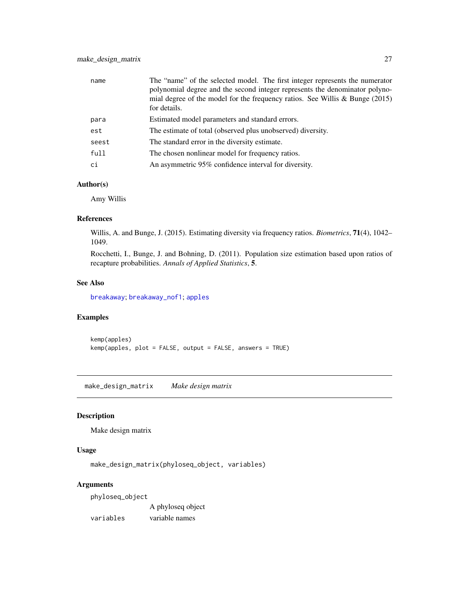<span id="page-26-0"></span>

| name  | The "name" of the selected model. The first integer represents the numerator<br>polynomial degree and the second integer represents the denominator polyno-<br>mial degree of the model for the frequency ratios. See Willis $\&$ Bunge (2015)<br>for details. |
|-------|----------------------------------------------------------------------------------------------------------------------------------------------------------------------------------------------------------------------------------------------------------------|
| para  | Estimated model parameters and standard errors.                                                                                                                                                                                                                |
| est   | The estimate of total (observed plus unobserved) diversity.                                                                                                                                                                                                    |
| seest | The standard error in the diversity estimate.                                                                                                                                                                                                                  |
| full  | The chosen nonlinear model for frequency ratios.                                                                                                                                                                                                               |
| ci    | An asymmetric 95% confidence interval for diversity.                                                                                                                                                                                                           |

#### Author(s)

Amy Willis

#### References

Willis, A. and Bunge, J. (2015). Estimating diversity via frequency ratios. *Biometrics*, 71(4), 1042– 1049.

Rocchetti, I., Bunge, J. and Bohning, D. (2011). Population size estimation based upon ratios of recapture probabilities. *Annals of Applied Statistics*, 5.

# See Also

[breakaway](#page-12-1); [breakaway\\_nof1](#page-14-1); [apples](#page-4-1)

#### Examples

kemp(apples) kemp(apples, plot = FALSE, output = FALSE, answers = TRUE)

make\_design\_matrix *Make design matrix*

#### Description

Make design matrix

#### Usage

make\_design\_matrix(phyloseq\_object, variables)

# Arguments

phyloseq\_object

A phyloseq object

variables variable names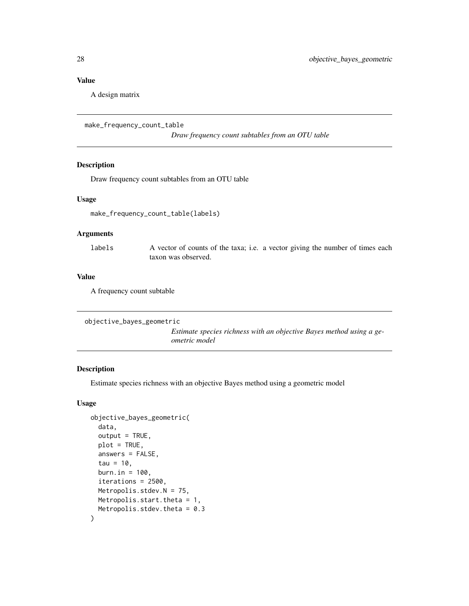<span id="page-27-0"></span>A design matrix

```
make_frequency_count_table
```
*Draw frequency count subtables from an OTU table*

# Description

Draw frequency count subtables from an OTU table

#### Usage

```
make_frequency_count_table(labels)
```
# Arguments

labels A vector of counts of the taxa; i.e. a vector giving the number of times each taxon was observed.

#### Value

A frequency count subtable

```
objective_bayes_geometric
```
*Estimate species richness with an objective Bayes method using a geometric model*

# Description

Estimate species richness with an objective Bayes method using a geometric model

# Usage

```
objective_bayes_geometric(
 data,
 output = TRUE,plot = TRUE,
  answers = FALSE,tau = 10,
 burn.in = 100.
  iterations = 2500,
 Metropolis.stdev.N = 75,
 Metropolis.start.theta = 1,
 Metropolis.stdev.theta = 0.3
)
```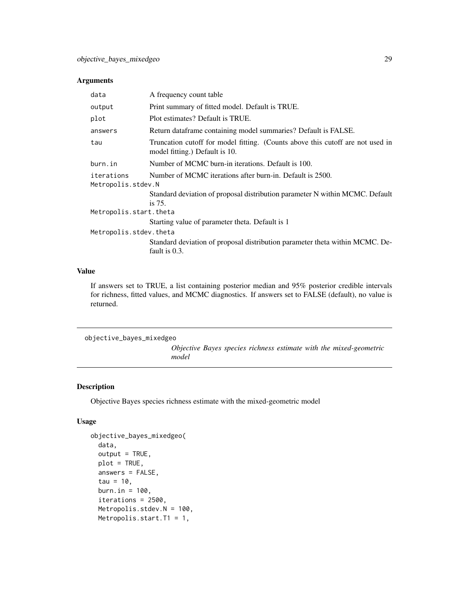#### <span id="page-28-0"></span>Arguments

| data                                                                                          | A frequency count table                                                                                          |  |
|-----------------------------------------------------------------------------------------------|------------------------------------------------------------------------------------------------------------------|--|
| output                                                                                        | Print summary of fitted model. Default is TRUE.                                                                  |  |
| plot                                                                                          | Plot estimates? Default is TRUE.                                                                                 |  |
| answers                                                                                       | Return dataframe containing model summaries? Default is FALSE.                                                   |  |
| tau                                                                                           | Truncation cutoff for model fitting. (Counts above this cutoff are not used in<br>model fitting.) Default is 10. |  |
| burn.in                                                                                       | Number of MCMC burn-in iterations. Default is 100.                                                               |  |
| Number of MCMC iterations after burn-in. Default is 2500.<br>iterations<br>Metropolis.stdev.N |                                                                                                                  |  |
|                                                                                               | Standard deviation of proposal distribution parameter N within MCMC. Default<br>is $75.$                         |  |
| Metropolis.start.theta                                                                        |                                                                                                                  |  |
|                                                                                               | Starting value of parameter theta. Default is 1                                                                  |  |
| Metropolis.stdev.theta                                                                        |                                                                                                                  |  |
|                                                                                               | Standard deviation of proposal distribution parameter theta within MCMC. De-<br>fault is 0.3.                    |  |

# Value

If answers set to TRUE, a list containing posterior median and 95% posterior credible intervals for richness, fitted values, and MCMC diagnostics. If answers set to FALSE (default), no value is returned.

objective\_bayes\_mixedgeo

*Objective Bayes species richness estimate with the mixed-geometric model*

# Description

Objective Bayes species richness estimate with the mixed-geometric model

# Usage

```
objective_bayes_mixedgeo(
  data,
  output = TRUE,plot = TRUE,
  answers = FALSE,
  tau = 10,
 burn.in = 100,
  iterations = 2500,
  Metropolis.stdev.N = 100,
 Metropolis.start.T1 = 1,
```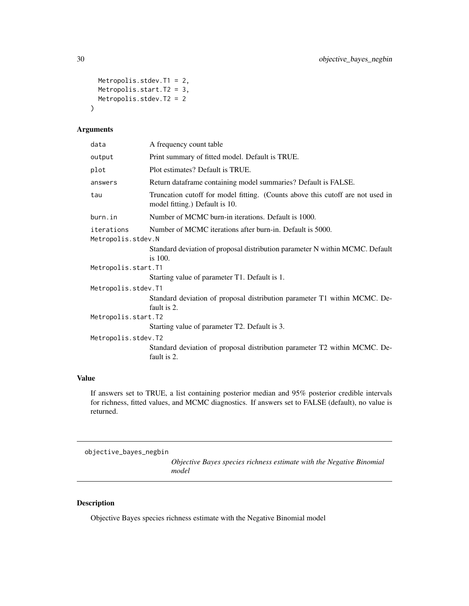```
Metropolis.stdev.T1 = 2,
 Metropolis.start.T2 = 3,
 Metropolis.stdev.T2 = 2
\mathcal{L}
```
# Arguments

| data                | A frequency count table                                                                                          |  |
|---------------------|------------------------------------------------------------------------------------------------------------------|--|
| output              | Print summary of fitted model. Default is TRUE.                                                                  |  |
| plot                | Plot estimates? Default is TRUE.                                                                                 |  |
| answers             | Return dataframe containing model summaries? Default is FALSE.                                                   |  |
| tau                 | Truncation cutoff for model fitting. (Counts above this cutoff are not used in<br>model fitting.) Default is 10. |  |
| burn.in             | Number of MCMC burn-in iterations. Default is 1000.                                                              |  |
| iterations          | Number of MCMC iterations after burn-in. Default is 5000.                                                        |  |
| Metropolis.stdev.N  |                                                                                                                  |  |
|                     | Standard deviation of proposal distribution parameter N within MCMC. Default<br>is $100$ .                       |  |
| Metropolis.start.T1 |                                                                                                                  |  |
|                     | Starting value of parameter T1. Default is 1.                                                                    |  |
| Metropolis.stdev.T1 |                                                                                                                  |  |
|                     | Standard deviation of proposal distribution parameter T1 within MCMC. De-<br>fault is 2.                         |  |
| Metropolis.start.T2 |                                                                                                                  |  |
|                     | Starting value of parameter T2. Default is 3.                                                                    |  |
| Metropolis.stdev.T2 |                                                                                                                  |  |
|                     | Standard deviation of proposal distribution parameter T2 within MCMC. De-<br>fault is 2.                         |  |

# Value

If answers set to TRUE, a list containing posterior median and 95% posterior credible intervals for richness, fitted values, and MCMC diagnostics. If answers set to FALSE (default), no value is returned.

objective\_bayes\_negbin *Objective Bayes species richness estimate with the Negative Binomial model*

# Description

Objective Bayes species richness estimate with the Negative Binomial model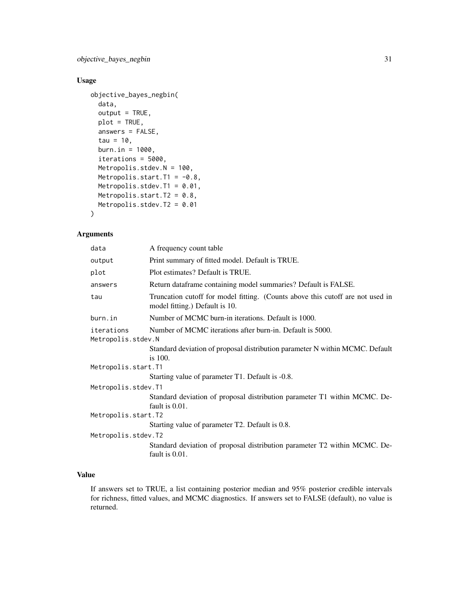objective\_bayes\_negbin 31

# Usage

```
objective_bayes_negbin(
  data,
  output = TRUE,plot = TRUE,
  answers = FALSE,
  tau = 10,
  burn.in = 1000,
  iterations = 5000,
 Metropolis.stdev.N = 100,
 Metropolis.start.T1 = -0.8,
 Metropolis.stdev.T1 = 0.01,
 Metropolis.start.T2 = 0.8,
 Metropolis.stdev.T2 = 0.01
)
```
# Arguments

| data                | A frequency count table                                                                                          |  |
|---------------------|------------------------------------------------------------------------------------------------------------------|--|
| output              | Print summary of fitted model. Default is TRUE.                                                                  |  |
| plot                | Plot estimates? Default is TRUE.                                                                                 |  |
| answers             | Return dataframe containing model summaries? Default is FALSE.                                                   |  |
| tau                 | Truncation cutoff for model fitting. (Counts above this cutoff are not used in<br>model fitting.) Default is 10. |  |
| burn.in             | Number of MCMC burn-in iterations. Default is 1000.                                                              |  |
| iterations          | Number of MCMC iterations after burn-in. Default is 5000.                                                        |  |
| Metropolis.stdev.N  |                                                                                                                  |  |
|                     | Standard deviation of proposal distribution parameter N within MCMC. Default<br>is $100$ .                       |  |
| Metropolis.start.T1 |                                                                                                                  |  |
|                     | Starting value of parameter T1. Default is -0.8.                                                                 |  |
| Metropolis.stdev.T1 |                                                                                                                  |  |
|                     | Standard deviation of proposal distribution parameter T1 within MCMC. De-<br>fault is 0.01.                      |  |
| Metropolis.start.T2 |                                                                                                                  |  |
|                     | Starting value of parameter T2. Default is 0.8.                                                                  |  |
| Metropolis.stdev.T2 |                                                                                                                  |  |
|                     | Standard deviation of proposal distribution parameter T2 within MCMC. De-<br>fault is 0.01.                      |  |

#### Value

If answers set to TRUE, a list containing posterior median and 95% posterior credible intervals for richness, fitted values, and MCMC diagnostics. If answers set to FALSE (default), no value is returned.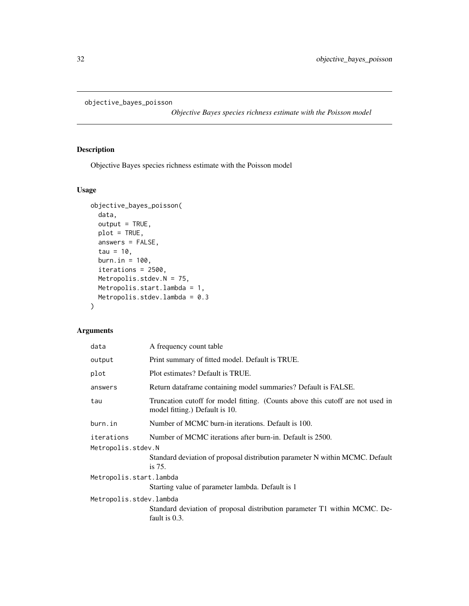```
objective_bayes_poisson
```
*Objective Bayes species richness estimate with the Poisson model*

# Description

Objective Bayes species richness estimate with the Poisson model

# Usage

```
objective_bayes_poisson(
  data,
  output = TRUE,plot = TRUE,
  answers = FALSE,
  tau = 10,
 burn.in = 100,
  iterations = 2500,
 Metropolis.stdev.N = 75,
 Metropolis.start.lambda = 1,
 Metropolis.stdev.lambda = 0.3
\mathcal{L}
```
# Arguments

| A frequency count table                                                                                          |  |  |
|------------------------------------------------------------------------------------------------------------------|--|--|
| Print summary of fitted model. Default is TRUE.                                                                  |  |  |
| Plot estimates? Default is TRUE.                                                                                 |  |  |
| Return dataframe containing model summaries? Default is FALSE.                                                   |  |  |
| Truncation cutoff for model fitting. (Counts above this cutoff are not used in<br>model fitting.) Default is 10. |  |  |
| Number of MCMC burn-in iterations. Default is 100.                                                               |  |  |
| Number of MCMC iterations after burn-in. Default is 2500.<br>Metropolis.stdev.N                                  |  |  |
| Standard deviation of proposal distribution parameter N within MCMC. Default<br>is 75.                           |  |  |
| Metropolis.start.lambda                                                                                          |  |  |
| Starting value of parameter lambda. Default is 1                                                                 |  |  |
| Metropolis.stdev.lambda                                                                                          |  |  |
| Standard deviation of proposal distribution parameter T1 within MCMC. De-<br>fault is 0.3.                       |  |  |
|                                                                                                                  |  |  |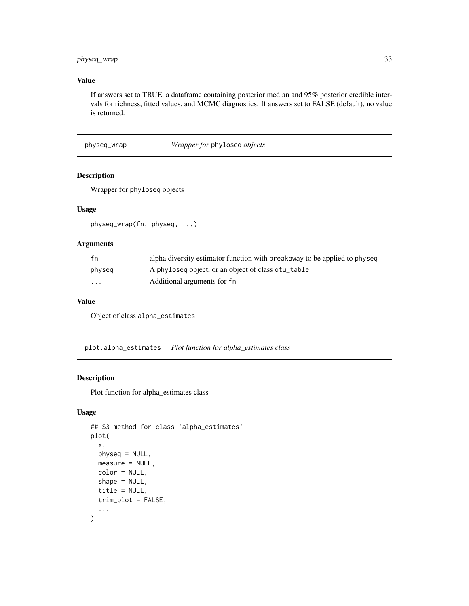# <span id="page-32-0"></span>physeq\_wrap 33

# Value

If answers set to TRUE, a dataframe containing posterior median and 95% posterior credible intervals for richness, fitted values, and MCMC diagnostics. If answers set to FALSE (default), no value is returned.

physeq\_wrap *Wrapper for* phyloseq *objects*

#### Description

Wrapper for phyloseq objects

# Usage

physeq\_wrap(fn, physeq, ...)

# Arguments

| fn       | alpha diversity estimator function with breakaway to be applied to physeq |
|----------|---------------------------------------------------------------------------|
| physeq   | A phyloseq object, or an object of class otu_table                        |
| $\cdots$ | Additional arguments for fn                                               |

# Value

Object of class alpha\_estimates

plot.alpha\_estimates *Plot function for alpha\_estimates class*

# Description

Plot function for alpha\_estimates class

# Usage

```
## S3 method for class 'alpha_estimates'
plot(
  x,
  physeq = NULL,
  measure = NULL,
  color = NULL,
  shape = NULL,
  title = NULL,
  trim_plot = FALSE,
  ...
\mathcal{L}
```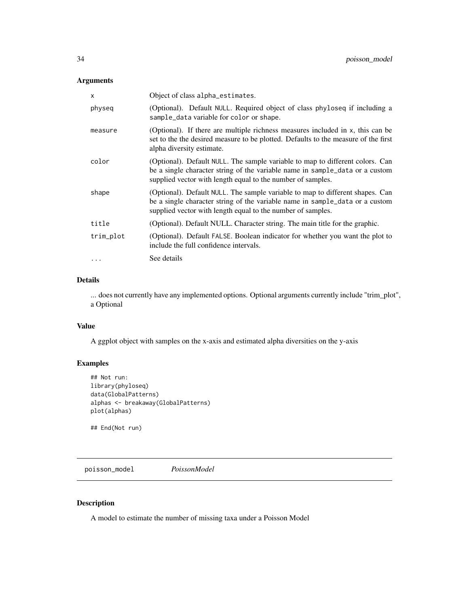# <span id="page-33-0"></span>Arguments

| X         | Object of class alpha_estimates.                                                                                                                                                                                             |
|-----------|------------------------------------------------------------------------------------------------------------------------------------------------------------------------------------------------------------------------------|
| physeq    | (Optional). Default NULL. Required object of class phyloseq if including a<br>sample_data variable for color or shape.                                                                                                       |
| measure   | (Optional). If there are multiple richness measures included in x, this can be<br>set to the the desired measure to be plotted. Defaults to the measure of the first<br>alpha diversity estimate.                            |
| color     | (Optional). Default NULL. The sample variable to map to different colors. Can<br>be a single character string of the variable name in sample_data or a custom<br>supplied vector with length equal to the number of samples. |
| shape     | (Optional). Default NULL. The sample variable to map to different shapes. Can<br>be a single character string of the variable name in sample_data or a custom<br>supplied vector with length equal to the number of samples. |
| title     | (Optional). Default NULL. Character string. The main title for the graphic.                                                                                                                                                  |
| trim_plot | (Optional). Default FALSE. Boolean indicator for whether you want the plot to<br>include the full confidence intervals.                                                                                                      |
| .         | See details                                                                                                                                                                                                                  |

# Details

... does not currently have any implemented options. Optional arguments currently include "trim\_plot", a Optional

#### Value

A ggplot object with samples on the x-axis and estimated alpha diversities on the y-axis

# Examples

```
## Not run:
library(phyloseq)
data(GlobalPatterns)
alphas <- breakaway(GlobalPatterns)
plot(alphas)
```
## End(Not run)

poisson\_model *PoissonModel*

# Description

A model to estimate the number of missing taxa under a Poisson Model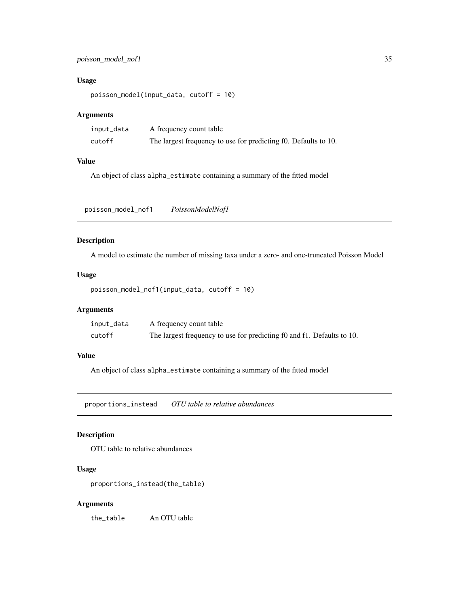# <span id="page-34-0"></span>poisson\_model\_nof1 35

# Usage

poisson\_model(input\_data, cutoff = 10)

# Arguments

| input_data | A frequency count table                                         |
|------------|-----------------------------------------------------------------|
| cutoff     | The largest frequency to use for predicting f0. Defaults to 10. |

#### Value

An object of class alpha\_estimate containing a summary of the fitted model

poisson\_model\_nof1 *PoissonModelNof1*

#### Description

A model to estimate the number of missing taxa under a zero- and one-truncated Poisson Model

#### Usage

```
poisson_model_nof1(input_data, cutoff = 10)
```
# Arguments

| input_data | A frequency count table                                                |
|------------|------------------------------------------------------------------------|
| cutoff     | The largest frequency to use for predicting f0 and f1. Defaults to 10. |

#### Value

An object of class alpha\_estimate containing a summary of the fitted model

proportions\_instead *OTU table to relative abundances*

# Description

OTU table to relative abundances

# Usage

proportions\_instead(the\_table)

#### Arguments

the\_table An OTU table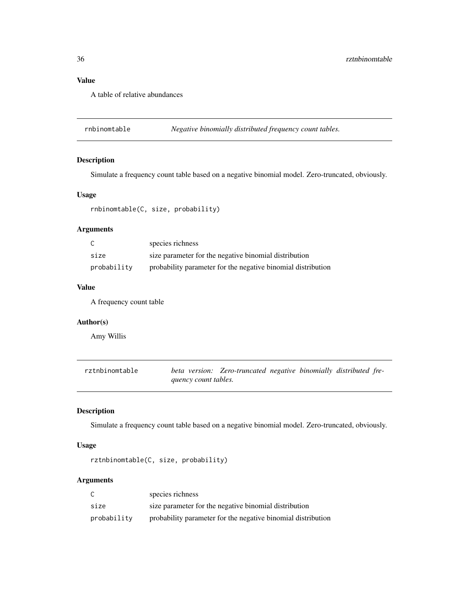A table of relative abundances

rnbinomtable *Negative binomially distributed frequency count tables.*

#### Description

Simulate a frequency count table based on a negative binomial model. Zero-truncated, obviously.

#### Usage

rnbinomtable(C, size, probability)

#### Arguments

| C           | species richness                                             |
|-------------|--------------------------------------------------------------|
| size        | size parameter for the negative binomial distribution        |
| probability | probability parameter for the negative binomial distribution |

#### Value

A frequency count table

# Author(s)

Amy Willis

| rztnbinomtable |                      | beta version: Zero-truncated negative binomially distributed fre- |  |  |
|----------------|----------------------|-------------------------------------------------------------------|--|--|
|                | quency count tables. |                                                                   |  |  |

# Description

Simulate a frequency count table based on a negative binomial model. Zero-truncated, obviously.

# Usage

```
rztnbinomtable(C, size, probability)
```
# Arguments

|             | species richness                                             |
|-------------|--------------------------------------------------------------|
| size        | size parameter for the negative binomial distribution        |
| probability | probability parameter for the negative binomial distribution |

<span id="page-35-0"></span>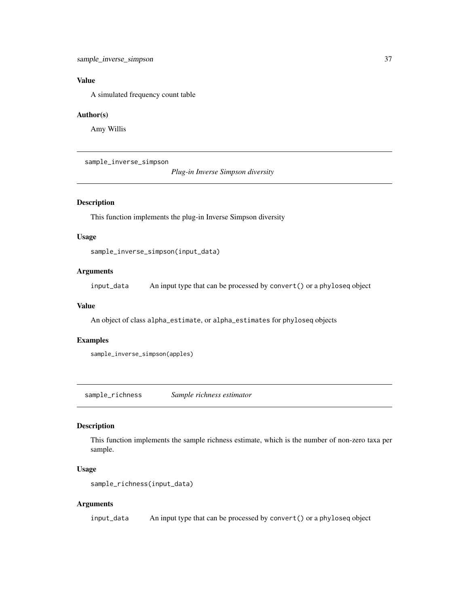<span id="page-36-0"></span>A simulated frequency count table

#### Author(s)

Amy Willis

sample\_inverse\_simpson

*Plug-in Inverse Simpson diversity*

# Description

This function implements the plug-in Inverse Simpson diversity

# Usage

sample\_inverse\_simpson(input\_data)

# Arguments

input\_data An input type that can be processed by convert() or a phyloseq object

#### Value

An object of class alpha\_estimate, or alpha\_estimates for phyloseq objects

# Examples

sample\_inverse\_simpson(apples)

sample\_richness *Sample richness estimator*

# Description

This function implements the sample richness estimate, which is the number of non-zero taxa per sample.

#### Usage

```
sample_richness(input_data)
```
#### Arguments

input\_data An input type that can be processed by convert() or a phyloseq object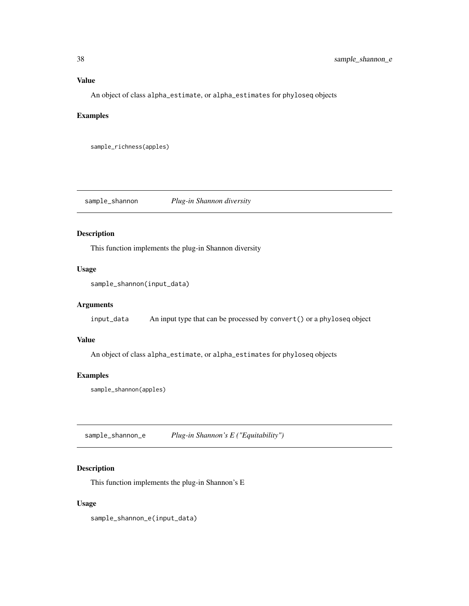<span id="page-37-0"></span>An object of class alpha\_estimate, or alpha\_estimates for phyloseq objects

# Examples

```
sample_richness(apples)
```
sample\_shannon *Plug-in Shannon diversity*

# Description

This function implements the plug-in Shannon diversity

# Usage

```
sample_shannon(input_data)
```
# Arguments

input\_data An input type that can be processed by convert() or a phyloseq object

#### Value

An object of class alpha\_estimate, or alpha\_estimates for phyloseq objects

# Examples

sample\_shannon(apples)

sample\_shannon\_e *Plug-in Shannon's E ("Equitability")*

# Description

This function implements the plug-in Shannon's E

# Usage

sample\_shannon\_e(input\_data)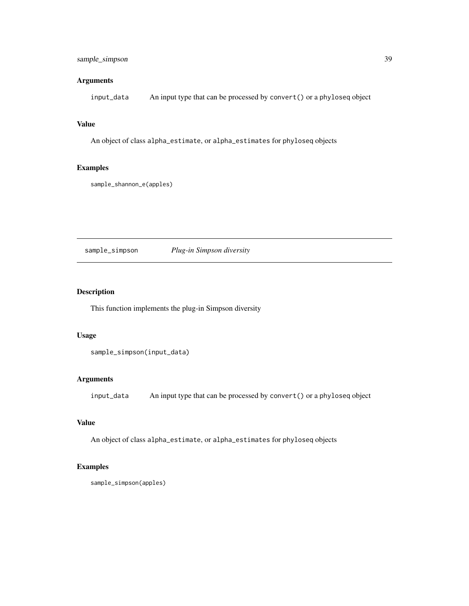# <span id="page-38-0"></span>sample\_simpson 39

# Arguments

input\_data An input type that can be processed by convert() or a phyloseq object

#### Value

An object of class alpha\_estimate, or alpha\_estimates for phyloseq objects

# Examples

```
sample_shannon_e(apples)
```
# sample\_simpson *Plug-in Simpson diversity*

# Description

This function implements the plug-in Simpson diversity

#### Usage

```
sample_simpson(input_data)
```
# Arguments

input\_data An input type that can be processed by convert() or a phyloseq object

# Value

An object of class alpha\_estimate, or alpha\_estimates for phyloseq objects

# Examples

sample\_simpson(apples)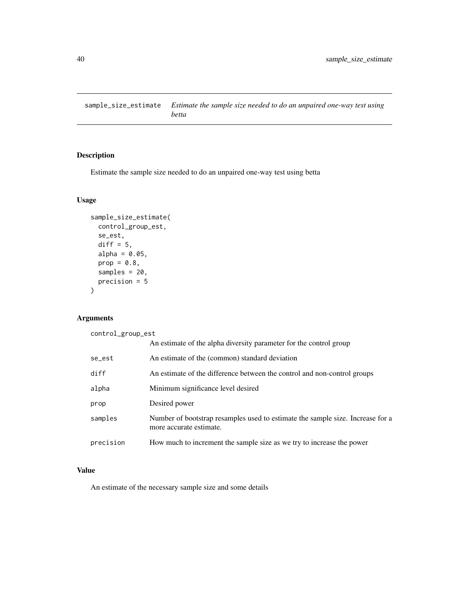<span id="page-39-0"></span>sample\_size\_estimate *Estimate the sample size needed to do an unpaired one-way test using betta*

# Description

Estimate the sample size needed to do an unpaired one-way test using betta

# Usage

```
sample_size_estimate(
  control_group_est,
  se_est,
  diff = 5,
  alpha = 0.05,
  prop = 0.8,
  samples = 20,
  precision = 5
\mathcal{L}
```
# Arguments

control\_group\_est

|           | An estimate of the alpha diversity parameter for the control group                                        |
|-----------|-----------------------------------------------------------------------------------------------------------|
| se_est    | An estimate of the (common) standard deviation                                                            |
| diff      | An estimate of the difference between the control and non-control groups                                  |
| alpha     | Minimum significance level desired                                                                        |
| prop      | Desired power                                                                                             |
| samples   | Number of bootstrap resamples used to estimate the sample size. Increase for a<br>more accurate estimate. |
| precision | How much to increment the sample size as we try to increase the power                                     |

#### Value

An estimate of the necessary sample size and some details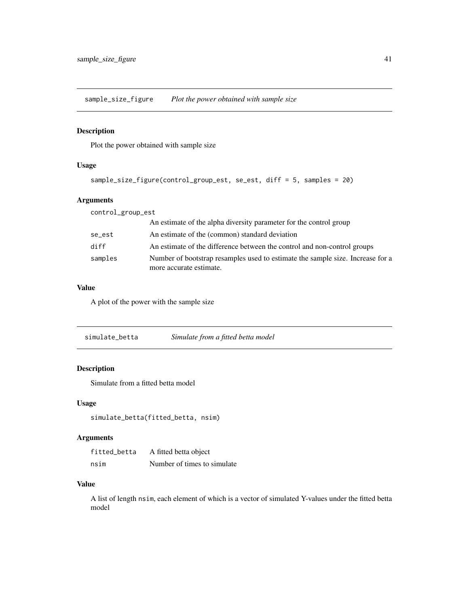<span id="page-40-0"></span>sample\_size\_figure *Plot the power obtained with sample size*

# Description

Plot the power obtained with sample size

# Usage

```
sample_size_figure(control_group_est, se_est, diff = 5, samples = 20)
```
# Arguments

| control_group_est |                                                                                                           |
|-------------------|-----------------------------------------------------------------------------------------------------------|
|                   | An estimate of the alpha diversity parameter for the control group                                        |
| se_est            | An estimate of the (common) standard deviation                                                            |
| diff              | An estimate of the difference between the control and non-control groups                                  |
| samples           | Number of bootstrap resamples used to estimate the sample size. Increase for a<br>more accurate estimate. |

#### Value

A plot of the power with the sample size

simulate\_betta *Simulate from a fitted betta model*

# Description

Simulate from a fitted betta model

# Usage

simulate\_betta(fitted\_betta, nsim)

# Arguments

| fitted betta | A fitted betta object       |
|--------------|-----------------------------|
| nsim         | Number of times to simulate |

# Value

A list of length nsim, each element of which is a vector of simulated Y-values under the fitted betta model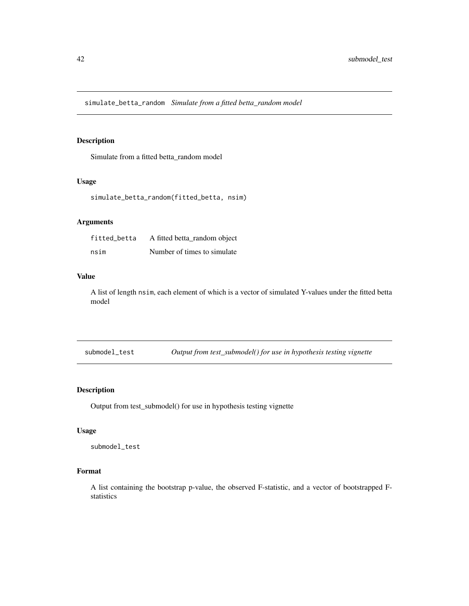<span id="page-41-0"></span>simulate\_betta\_random *Simulate from a fitted betta\_random model*

# Description

Simulate from a fitted betta\_random model

#### Usage

```
simulate_betta_random(fitted_betta, nsim)
```
#### Arguments

| fitted betta | A fitted betta_random object |
|--------------|------------------------------|
| nsim         | Number of times to simulate. |

#### Value

A list of length nsim, each element of which is a vector of simulated Y-values under the fitted betta model

submodel\_test *Output from test\_submodel() for use in hypothesis testing vignette*

# Description

Output from test\_submodel() for use in hypothesis testing vignette

#### Usage

submodel\_test

# Format

A list containing the bootstrap p-value, the observed F-statistic, and a vector of bootstrapped Fstatistics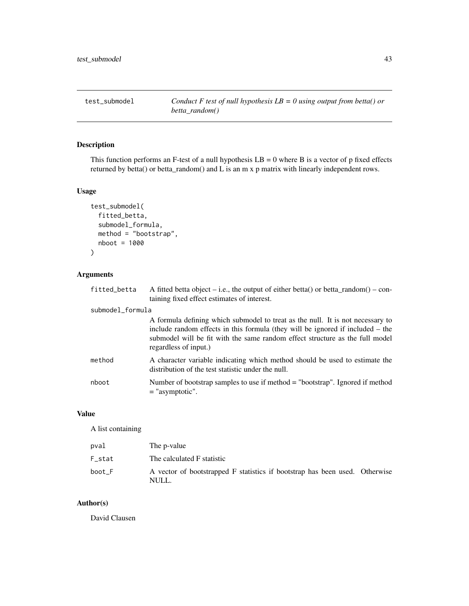<span id="page-42-0"></span>

This function performs an F-test of a null hypothesis  $LB = 0$  where B is a vector of p fixed effects returned by betta() or betta\_random() and L is an m x p matrix with linearly independent rows.

#### Usage

```
test_submodel(
  fitted_betta,
  submodel_formula,
 method = "bootstrap",
  nboot = 1000
)
```
#### Arguments

fitted\_betta A fitted betta object – i.e., the output of either betta() or betta\_random() – containing fixed effect estimates of interest.

#### submodel\_formula

A formula defining which submodel to treat as the null. It is not necessary to include random effects in this formula (they will be ignored if included – the submodel will be fit with the same random effect structure as the full model regardless of input.) method A character variable indicating which method should be used to estimate the distribution of the test statistic under the null.

nboot Number of bootstrap samples to use if method = "bootstrap". Ignored if method = "asymptotic".

#### Value

#### A list containing

| pval   | The p-value                                                                          |  |
|--------|--------------------------------------------------------------------------------------|--|
| F stat | The calculated F statistic                                                           |  |
| boot F | A vector of bootstrapped F statistics if bootstrap has been used. Otherwise<br>NULL. |  |

#### Author(s)

David Clausen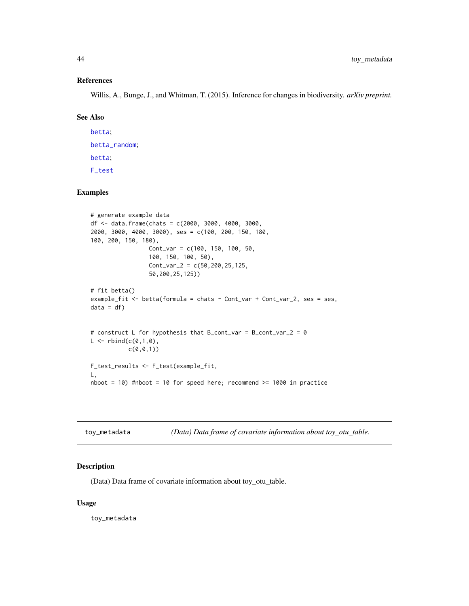#### References

Willis, A., Bunge, J., and Whitman, T. (2015). Inference for changes in biodiversity. *arXiv preprint.*

#### See Also

[betta](#page-5-1); [betta\\_random](#page-10-1); [betta](#page-5-1); [F\\_test](#page-21-1)

# Examples

```
# generate example data
df <- data.frame(chats = c(2000, 3000, 4000, 3000,
2000, 3000, 4000, 3000), ses = c(100, 200, 150, 180,
100, 200, 150, 180),
                 Cont_var = c(100, 150, 100, 50,
                 100, 150, 100, 50),
                 Cont_{var_2} = c(50, 200, 25, 125,50,200,25,125))
# fit betta()
example_fit <- betta(formula = chats ~ Cont_var + Cont_var_2, ses = ses,
data = df)# construct L for hypothesis that B_cont_var = B_cont_var_2 = 0
L < - rbind(c(0,1,0),
           c(0,0,1)F_test_results <- F_test(example_fit,
L,
nboot = 10) #nboot = 10 for speed here; recommend >= 1000 in practice
```

| toy_metadata |  | (Data) Data frame of covariate information about toy_otu_table. |  |
|--------------|--|-----------------------------------------------------------------|--|
|              |  |                                                                 |  |

#### Description

(Data) Data frame of covariate information about toy\_otu\_table.

#### Usage

toy\_metadata

<span id="page-43-0"></span>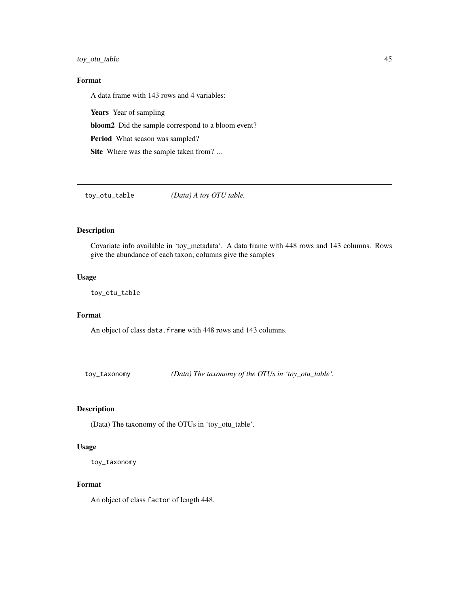<span id="page-44-0"></span>toy\_otu\_table 45

# Format

A data frame with 143 rows and 4 variables:

Years Year of sampling bloom2 Did the sample correspond to a bloom event? Period What season was sampled? Site Where was the sample taken from? ...

toy\_otu\_table *(Data) A toy OTU table.*

# Description

Covariate info available in 'toy\_metadata'. A data frame with 448 rows and 143 columns. Rows give the abundance of each taxon; columns give the samples

# Usage

toy\_otu\_table

# Format

An object of class data. frame with 448 rows and 143 columns.

toy\_taxonomy *(Data) The taxonomy of the OTUs in 'toy\_otu\_table'.*

# Description

(Data) The taxonomy of the OTUs in 'toy\_otu\_table'.

#### Usage

toy\_taxonomy

#### Format

An object of class factor of length 448.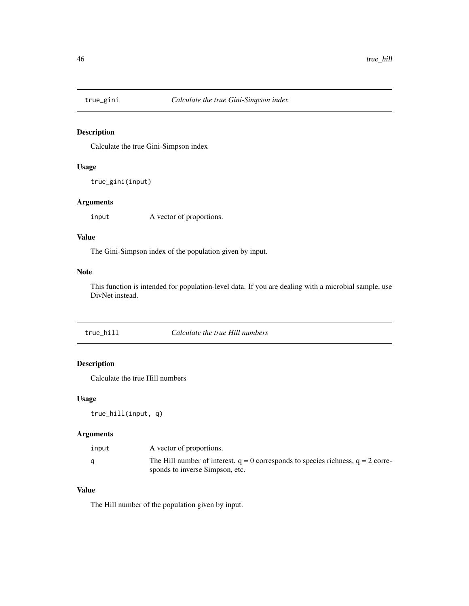<span id="page-45-0"></span>

Calculate the true Gini-Simpson index

#### Usage

true\_gini(input)

# Arguments

input A vector of proportions.

#### Value

The Gini-Simpson index of the population given by input.

# Note

This function is intended for population-level data. If you are dealing with a microbial sample, use DivNet instead.

| true hill | Calculate the true Hill numbers |
|-----------|---------------------------------|
|-----------|---------------------------------|

# Description

Calculate the true Hill numbers

#### Usage

true\_hill(input, q)

# Arguments

| input | A vector of proportions.                                                                                                |
|-------|-------------------------------------------------------------------------------------------------------------------------|
|       | The Hill number of interest. $q = 0$ corresponds to species richness, $q = 2$ corre-<br>sponds to inverse Simpson, etc. |

# Value

The Hill number of the population given by input.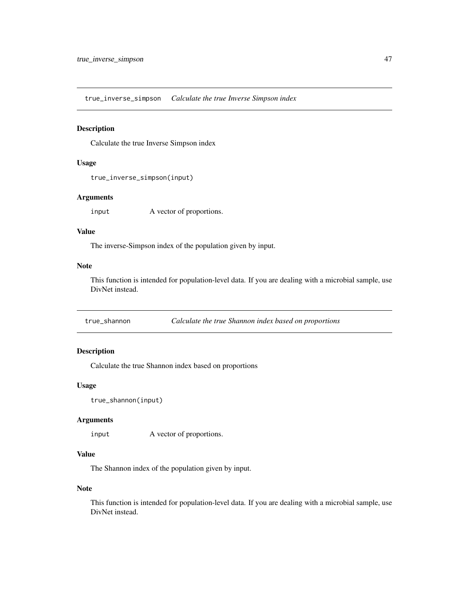<span id="page-46-0"></span>true\_inverse\_simpson *Calculate the true Inverse Simpson index*

#### Description

Calculate the true Inverse Simpson index

#### Usage

true\_inverse\_simpson(input)

#### Arguments

input A vector of proportions.

# Value

The inverse-Simpson index of the population given by input.

#### Note

This function is intended for population-level data. If you are dealing with a microbial sample, use DivNet instead.

true\_shannon *Calculate the true Shannon index based on proportions*

#### Description

Calculate the true Shannon index based on proportions

#### Usage

```
true_shannon(input)
```
#### Arguments

input A vector of proportions.

# Value

The Shannon index of the population given by input.

### Note

This function is intended for population-level data. If you are dealing with a microbial sample, use DivNet instead.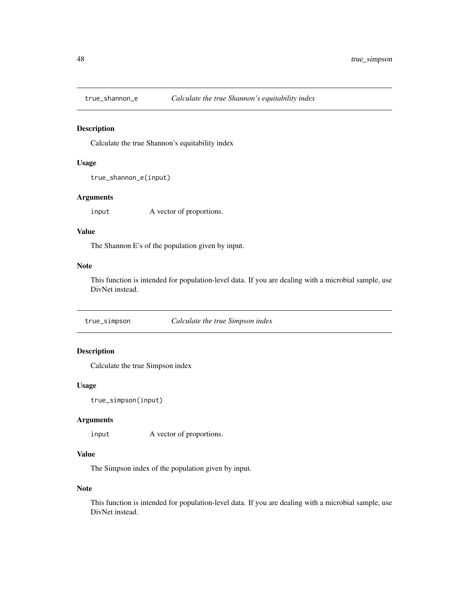<span id="page-47-0"></span>

Calculate the true Shannon's equitability index

#### Usage

```
true_shannon_e(input)
```
# Arguments

input A vector of proportions.

# Value

The Shannon E's of the population given by input.

# Note

This function is intended for population-level data. If you are dealing with a microbial sample, use DivNet instead.

true\_simpson *Calculate the true Simpson index*

#### Description

Calculate the true Simpson index

#### Usage

```
true_simpson(input)
```
#### Arguments

input A vector of proportions.

# Value

The Simpson index of the population given by input.

### Note

This function is intended for population-level data. If you are dealing with a microbial sample, use DivNet instead.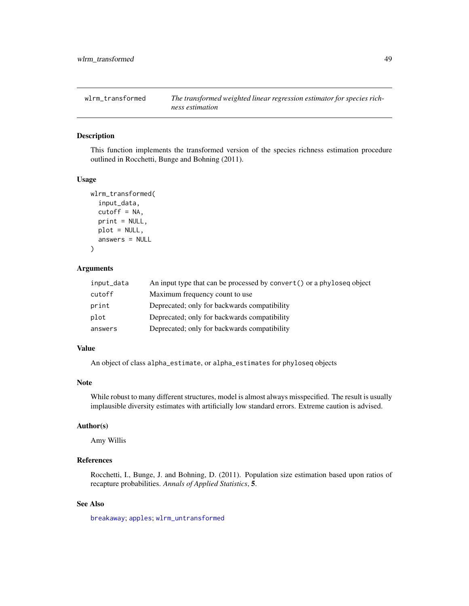<span id="page-48-1"></span><span id="page-48-0"></span>

This function implements the transformed version of the species richness estimation procedure outlined in Rocchetti, Bunge and Bohning (2011).

#### Usage

```
wlrm_transformed(
  input_data,
  cutoff = NA,
  print = NULL,
 plot = NULL,
  answers = NULL
)
```
#### Arguments

| input_data | An input type that can be processed by convert () or a phyloseq object |
|------------|------------------------------------------------------------------------|
| cutoff     | Maximum frequency count to use                                         |
| print      | Deprecated; only for backwards compatibility                           |
| plot       | Deprecated; only for backwards compatibility                           |
| answers    | Deprecated; only for backwards compatibility                           |

#### Value

An object of class alpha\_estimate, or alpha\_estimates for phyloseq objects

#### Note

While robust to many different structures, model is almost always misspecified. The result is usually implausible diversity estimates with artificially low standard errors. Extreme caution is advised.

#### Author(s)

Amy Willis

# References

Rocchetti, I., Bunge, J. and Bohning, D. (2011). Population size estimation based upon ratios of recapture probabilities. *Annals of Applied Statistics*, 5.

# See Also

[breakaway](#page-12-1); [apples](#page-4-1); [wlrm\\_untransformed](#page-49-1)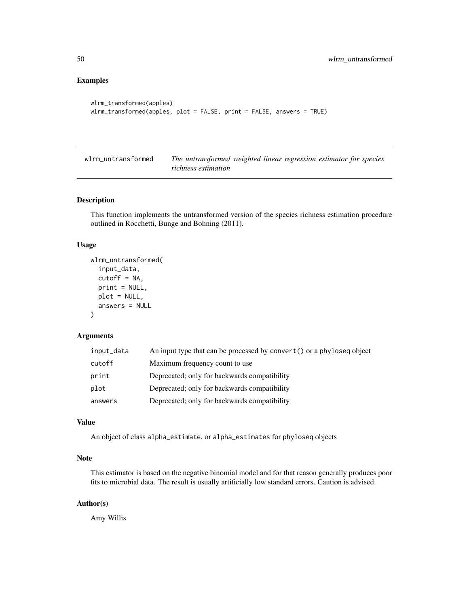#### <span id="page-49-0"></span>Examples

```
wlrm_transformed(apples)
wlrm_transformed(apples, plot = FALSE, print = FALSE, answers = TRUE)
```
<span id="page-49-1"></span>wlrm\_untransformed *The untransformed weighted linear regression estimator for species richness estimation*

#### Description

This function implements the untransformed version of the species richness estimation procedure outlined in Rocchetti, Bunge and Bohning (2011).

#### Usage

```
wlrm_untransformed(
  input_data,
  cutoff = NA,
  print = NULL,
 plot = NULL,
  answers = NULL
)
```
# Arguments

| input_data | An input type that can be processed by convert () or a phyloseq object |
|------------|------------------------------------------------------------------------|
| cutoff     | Maximum frequency count to use                                         |
| print      | Deprecated; only for backwards compatibility                           |
| plot       | Deprecated; only for backwards compatibility                           |
| answers    | Deprecated; only for backwards compatibility                           |

#### Value

An object of class alpha\_estimate, or alpha\_estimates for phyloseq objects

# Note

This estimator is based on the negative binomial model and for that reason generally produces poor fits to microbial data. The result is usually artificially low standard errors. Caution is advised.

#### Author(s)

Amy Willis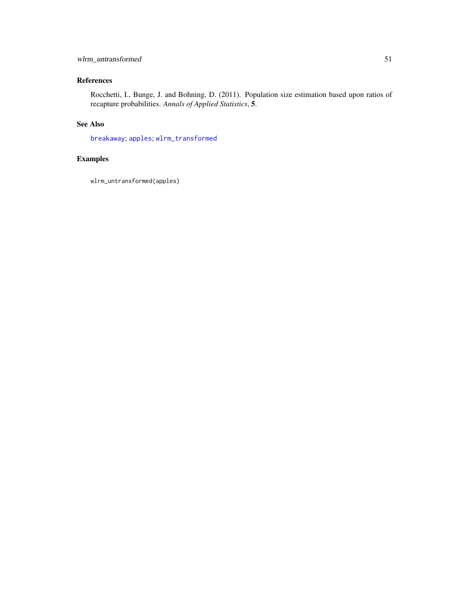# <span id="page-50-0"></span>wlrm\_untransformed 51

# References

Rocchetti, I., Bunge, J. and Bohning, D. (2011). Population size estimation based upon ratios of recapture probabilities. *Annals of Applied Statistics*, 5.

# See Also

[breakaway](#page-12-1); [apples](#page-4-1); [wlrm\\_transformed](#page-48-1)

# Examples

wlrm\_untransformed(apples)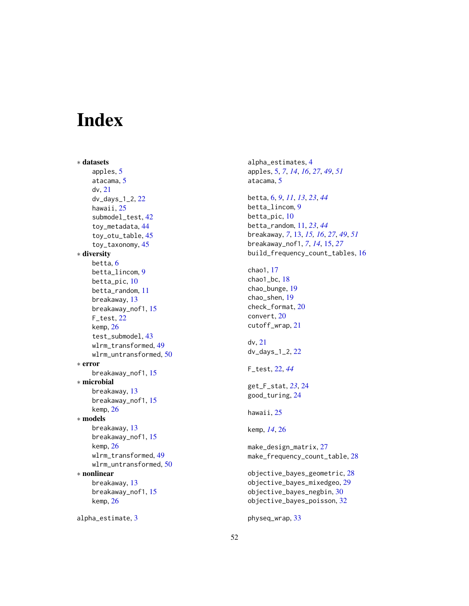# <span id="page-51-0"></span>Index

∗ datasets apples, [5](#page-4-0) atacama, [5](#page-4-0) dv, [21](#page-20-0) dv\_days\_1\_2, [22](#page-21-0) hawaii, [25](#page-24-0) submodel\_test, [42](#page-41-0) toy\_metadata, [44](#page-43-0) toy\_otu\_table, [45](#page-44-0) toy\_taxonomy, [45](#page-44-0) ∗ diversity betta, [6](#page-5-0) betta\_lincom, [9](#page-8-0) betta\_pic, [10](#page-9-0) betta\_random, [11](#page-10-0) breakaway, [13](#page-12-0) breakaway\_nof1, [15](#page-14-0) F\_test, [22](#page-21-0) kemp, [26](#page-25-0) test\_submodel, [43](#page-42-0) wlrm\_transformed, [49](#page-48-0) wlrm\_untransformed, [50](#page-49-0) ∗ error breakaway\_nof1, [15](#page-14-0) ∗ microbial breakaway, [13](#page-12-0) breakaway\_nof1, [15](#page-14-0) kemp, [26](#page-25-0) ∗ models breakaway, [13](#page-12-0) breakaway\_nof1, [15](#page-14-0) kemp, [26](#page-25-0) wlrm\_transformed, [49](#page-48-0) wlrm\_untransformed, [50](#page-49-0) ∗ nonlinear breakaway, [13](#page-12-0) breakaway\_nof1, [15](#page-14-0) kemp, [26](#page-25-0)

alpha\_estimate, [3](#page-2-0)

alpha\_estimates, [4](#page-3-0) apples, [5,](#page-4-0) *[7](#page-6-0)*, *[14](#page-13-0)*, *[16](#page-15-0)*, *[27](#page-26-0)*, *[49](#page-48-0)*, *[51](#page-50-0)* atacama, [5](#page-4-0) betta, [6,](#page-5-0) *[9](#page-8-0)*, *[11](#page-10-0)*, *[13](#page-12-0)*, *[23](#page-22-0)*, *[44](#page-43-0)* betta\_lincom, [9](#page-8-0) betta\_pic, [10](#page-9-0) betta\_random, [11,](#page-10-0) *[23](#page-22-0)*, *[44](#page-43-0)* breakaway, *[7](#page-6-0)*, [13,](#page-12-0) *[15,](#page-14-0) [16](#page-15-0)*, *[27](#page-26-0)*, *[49](#page-48-0)*, *[51](#page-50-0)* breakaway\_nof1, *[7](#page-6-0)*, *[14](#page-13-0)*, [15,](#page-14-0) *[27](#page-26-0)* build\_frequency\_count\_tables, [16](#page-15-0) chao1, [17](#page-16-0) chao1\_bc, [18](#page-17-0) chao\_bunge, [19](#page-18-0) chao\_shen, [19](#page-18-0) check\_format, [20](#page-19-0) convert, [20](#page-19-0) cutoff\_wrap, [21](#page-20-0) dv, [21](#page-20-0) dv\_days\_1\_2, [22](#page-21-0) F\_test, [22,](#page-21-0) *[44](#page-43-0)* get\_F\_stat, *[23](#page-22-0)*, [24](#page-23-0) good\_turing, [24](#page-23-0) hawaii, [25](#page-24-0) kemp, *[14](#page-13-0)*, [26](#page-25-0) make\_design\_matrix, [27](#page-26-0) make\_frequency\_count\_table, [28](#page-27-0) objective\_bayes\_geometric, [28](#page-27-0) objective\_bayes\_mixedgeo, [29](#page-28-0) objective\_bayes\_negbin, [30](#page-29-0) objective\_bayes\_poisson, [32](#page-31-0)

physeq\_wrap, [33](#page-32-0)